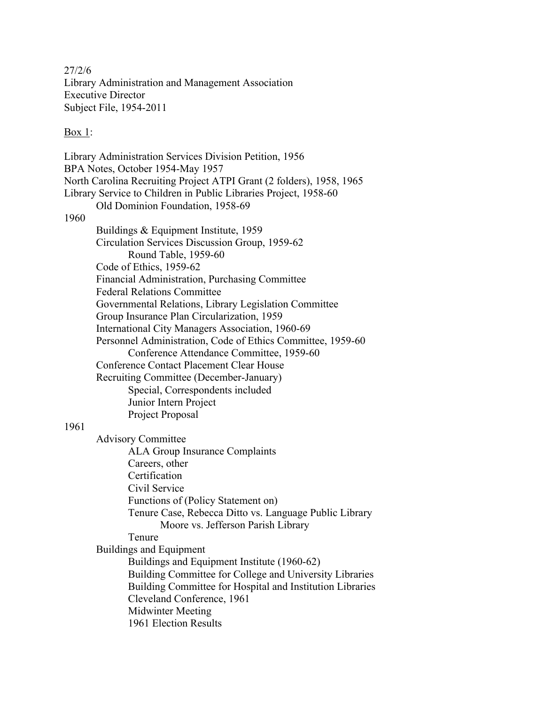27/2/6 Library Administration and Management Association Executive Director Subject File, 1954-2011

Box 1:

Library Administration Services Division Petition, 1956 BPA Notes, October 1954-May 1957 North Carolina Recruiting Project ATPI Grant (2 folders), 1958, 1965 Library Service to Children in Public Libraries Project, 1958-60 Old Dominion Foundation, 1958-69 1960 Buildings & Equipment Institute, 1959 Circulation Services Discussion Group, 1959-62 Round Table, 1959-60 Code of Ethics, 1959-62 Financial Administration, Purchasing Committee Federal Relations Committee Governmental Relations, Library Legislation Committee Group Insurance Plan Circularization, 1959 International City Managers Association, 1960-69 Personnel Administration, Code of Ethics Committee, 1959-60 Conference Attendance Committee, 1959-60 Conference Contact Placement Clear House Recruiting Committee (December-January) Special, Correspondents included Junior Intern Project Project Proposal 1961 Advisory Committee ALA Group Insurance Complaints Careers, other Certification Civil Service Functions of (Policy Statement on) Tenure Case, Rebecca Ditto vs. Language Public Library Moore vs. Jefferson Parish Library Tenure Buildings and Equipment Buildings and Equipment Institute (1960-62) Building Committee for College and University Libraries Building Committee for Hospital and Institution Libraries Cleveland Conference, 1961 Midwinter Meeting 1961 Election Results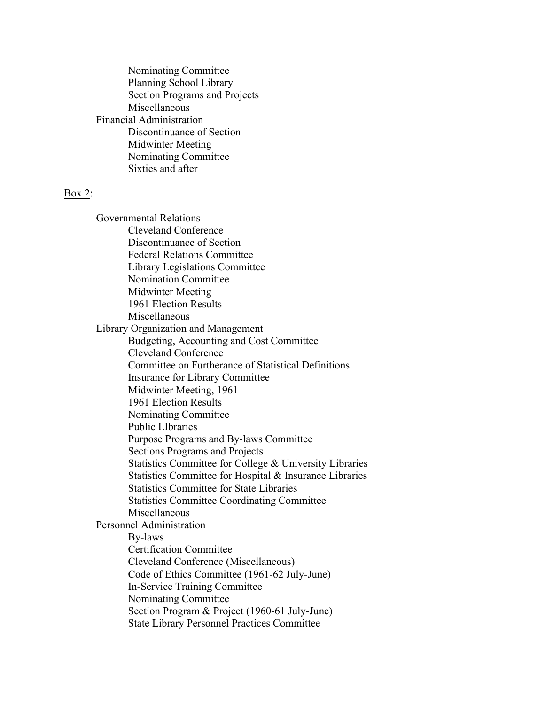Nominating Committee Planning School Library Section Programs and Projects Miscellaneous Financial Administration Discontinuance of Section Midwinter Meeting Nominating Committee Sixties and after

## Box 2:

Governmental Relations Cleveland Conference Discontinuance of Section Federal Relations Committee Library Legislations Committee Nomination Committee Midwinter Meeting 1961 Election Results Miscellaneous Library Organization and Management Budgeting, Accounting and Cost Committee Cleveland Conference Committee on Furtherance of Statistical Definitions Insurance for Library Committee Midwinter Meeting, 1961 1961 Election Results Nominating Committee Public LIbraries Purpose Programs and By-laws Committee Sections Programs and Projects Statistics Committee for College & University Libraries Statistics Committee for Hospital & Insurance Libraries Statistics Committee for State Libraries Statistics Committee Coordinating Committee Miscellaneous Personnel Administration By-laws Certification Committee Cleveland Conference (Miscellaneous) Code of Ethics Committee (1961-62 July-June) In-Service Training Committee Nominating Committee Section Program & Project (1960-61 July-June) State Library Personnel Practices Committee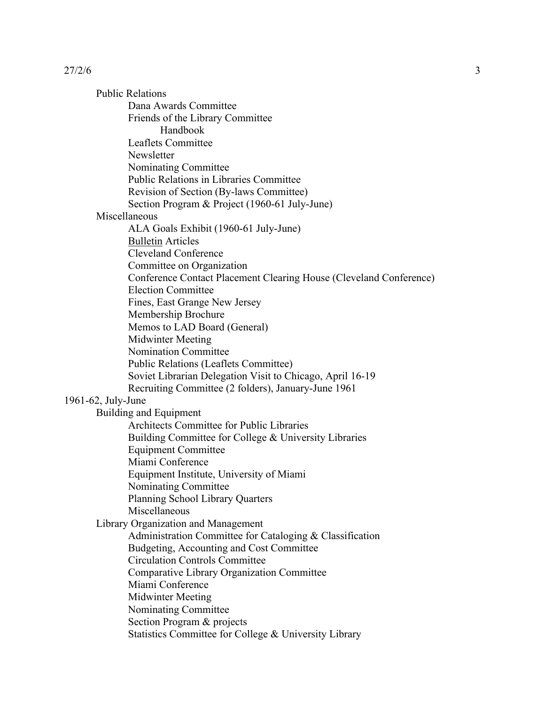Public Relations Dana Awards Committee Friends of the Library Committee Handbook Leaflets Committee Newsletter Nominating Committee Public Relations in Libraries Committee Revision of Section (By-laws Committee) Section Program & Project (1960-61 July-June) Miscellaneous ALA Goals Exhibit (1960-61 July-June) Bulletin Articles Cleveland Conference Committee on Organization Conference Contact Placement Clearing House (Cleveland Conference) Election Committee Fines, East Grange New Jersey Membership Brochure Memos to LAD Board (General) Midwinter Meeting Nomination Committee Public Relations (Leaflets Committee) Soviet Librarian Delegation Visit to Chicago, April 16-19 Recruiting Committee (2 folders), January-June 1961 1961-62, July-June Building and Equipment Architects Committee for Public Libraries Building Committee for College & University Libraries Equipment Committee Miami Conference Equipment Institute, University of Miami Nominating Committee Planning School Library Quarters Miscellaneous Library Organization and Management Administration Committee for Cataloging & Classification Budgeting, Accounting and Cost Committee Circulation Controls Committee Comparative Library Organization Committee Miami Conference Midwinter Meeting Nominating Committee Section Program & projects Statistics Committee for College & University Library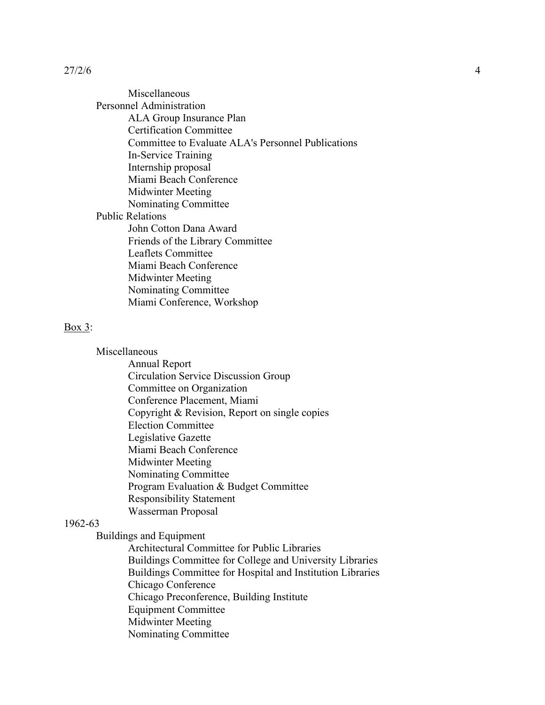Miscellaneous Personnel Administration ALA Group Insurance Plan Certification Committee Committee to Evaluate ALA's Personnel Publications In-Service Training Internship proposal Miami Beach Conference Midwinter Meeting Nominating Committee Public Relations John Cotton Dana Award Friends of the Library Committee Leaflets Committee Miami Beach Conference Midwinter Meeting Nominating Committee Miami Conference, Workshop

## Box 3:

Miscellaneous

Annual Report Circulation Service Discussion Group Committee on Organization Conference Placement, Miami Copyright & Revision, Report on single copies Election Committee Legislative Gazette Miami Beach Conference Midwinter Meeting Nominating Committee Program Evaluation & Budget Committee Responsibility Statement Wasserman Proposal

## 1962-63

Buildings and Equipment

Architectural Committee for Public Libraries Buildings Committee for College and University Libraries Buildings Committee for Hospital and Institution Libraries Chicago Conference Chicago Preconference, Building Institute Equipment Committee Midwinter Meeting Nominating Committee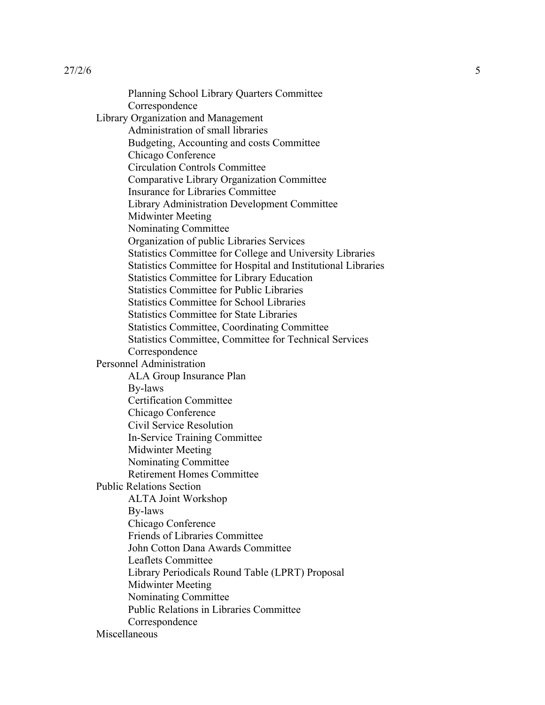Planning School Library Quarters Committee Correspondence Library Organization and Management Administration of small libraries Budgeting, Accounting and costs Committee Chicago Conference Circulation Controls Committee Comparative Library Organization Committee Insurance for Libraries Committee Library Administration Development Committee Midwinter Meeting Nominating Committee Organization of public Libraries Services Statistics Committee for College and University Libraries Statistics Committee for Hospital and Institutional Libraries Statistics Committee for Library Education Statistics Committee for Public Libraries Statistics Committee for School Libraries Statistics Committee for State Libraries Statistics Committee, Coordinating Committee Statistics Committee, Committee for Technical Services Correspondence Personnel Administration ALA Group Insurance Plan By-laws Certification Committee Chicago Conference Civil Service Resolution In-Service Training Committee Midwinter Meeting Nominating Committee Retirement Homes Committee Public Relations Section ALTA Joint Workshop By-laws Chicago Conference Friends of Libraries Committee John Cotton Dana Awards Committee Leaflets Committee Library Periodicals Round Table (LPRT) Proposal Midwinter Meeting Nominating Committee Public Relations in Libraries Committee Correspondence **Miscellaneous**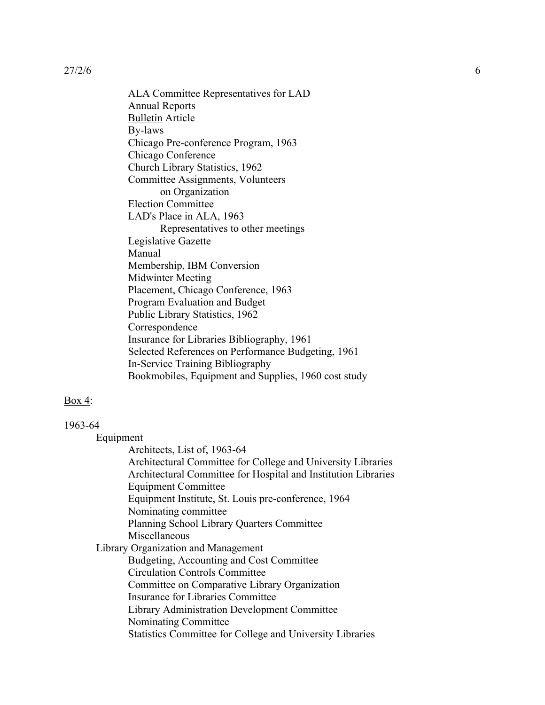ALA Committee Representatives for LAD Annual Reports Bulletin Article By-laws Chicago Pre-conference Program, 1963 Chicago Conference Church Library Statistics, 1962 Committee Assignments, Volunteers on Organization Election Committee LAD's Place in ALA, 1963 Representatives to other meetings Legislative Gazette Manual Membership, IBM Conversion Midwinter Meeting Placement, Chicago Conference, 1963 Program Evaluation and Budget Public Library Statistics, 1962 Correspondence Insurance for Libraries Bibliography, 1961 Selected References on Performance Budgeting, 1961 In-Service Training Bibliography Bookmobiles, Equipment and Supplies, 1960 cost study

#### Box 4:

## 1963-64

Equipment

Architects, List of, 1963-64 Architectural Committee for College and University Libraries Architectural Committee for Hospital and Institution Libraries Equipment Committee Equipment Institute, St. Louis pre-conference, 1964 Nominating committee Planning School Library Quarters Committee Miscellaneous Library Organization and Management Budgeting, Accounting and Cost Committee Circulation Controls Committee Committee on Comparative Library Organization Insurance for Libraries Committee Library Administration Development Committee Nominating Committee Statistics Committee for College and University Libraries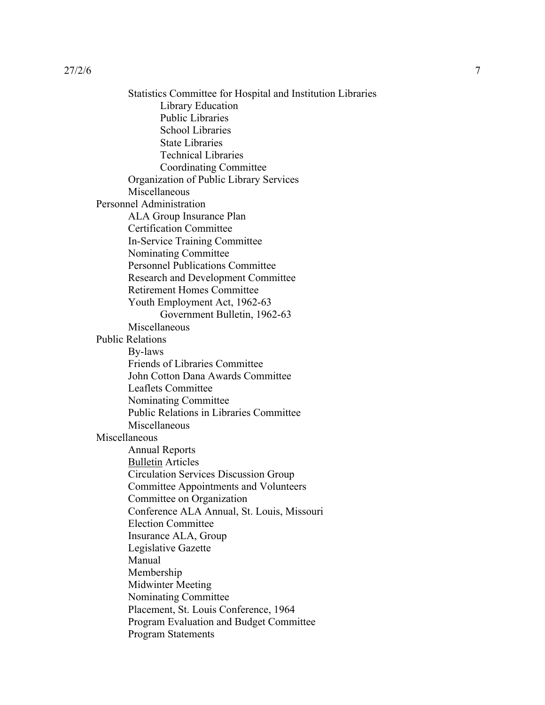Statistics Committee for Hospital and Institution Libraries Library Education Public Libraries School Libraries State Libraries Technical Libraries Coordinating Committee Organization of Public Library Services Miscellaneous Personnel Administration ALA Group Insurance Plan Certification Committee In-Service Training Committee Nominating Committee Personnel Publications Committee Research and Development Committee Retirement Homes Committee Youth Employment Act, 1962-63 Government Bulletin, 1962-63 Miscellaneous Public Relations By-laws Friends of Libraries Committee John Cotton Dana Awards Committee Leaflets Committee Nominating Committee Public Relations in Libraries Committee Miscellaneous Miscellaneous Annual Reports Bulletin Articles Circulation Services Discussion Group Committee Appointments and Volunteers Committee on Organization Conference ALA Annual, St. Louis, Missouri Election Committee Insurance ALA, Group Legislative Gazette Manual Membership Midwinter Meeting Nominating Committee Placement, St. Louis Conference, 1964 Program Evaluation and Budget Committee Program Statements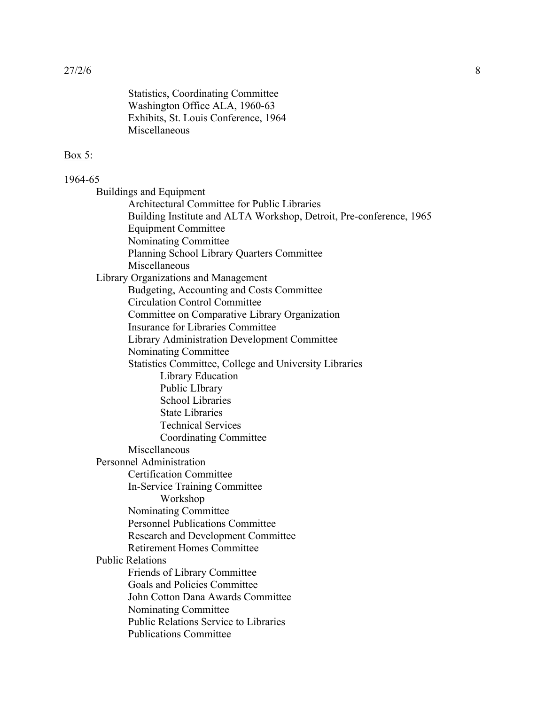Statistics, Coordinating Committee Washington Office ALA, 1960-63 Exhibits, St. Louis Conference, 1964 Miscellaneous

#### Box 5:

#### 1964-65

Buildings and Equipment Architectural Committee for Public Libraries Building Institute and ALTA Workshop, Detroit, Pre-conference, 1965 Equipment Committee Nominating Committee Planning School Library Quarters Committee Miscellaneous Library Organizations and Management Budgeting, Accounting and Costs Committee Circulation Control Committee Committee on Comparative Library Organization Insurance for Libraries Committee Library Administration Development Committee Nominating Committee Statistics Committee, College and University Libraries Library Education Public LIbrary School Libraries State Libraries Technical Services Coordinating Committee Miscellaneous Personnel Administration Certification Committee In-Service Training Committee Workshop Nominating Committee Personnel Publications Committee Research and Development Committee Retirement Homes Committee Public Relations Friends of Library Committee Goals and Policies Committee John Cotton Dana Awards Committee Nominating Committee Public Relations Service to Libraries Publications Committee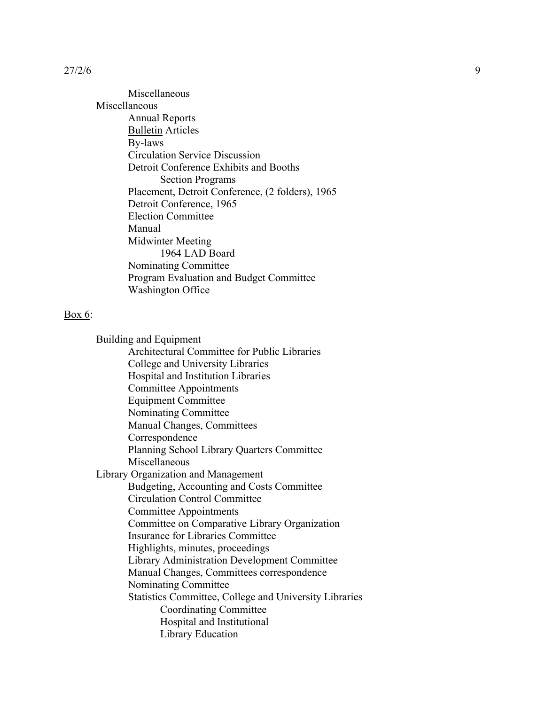Miscellaneous Miscellaneous Annual Reports Bulletin Articles By-laws Circulation Service Discussion Detroit Conference Exhibits and Booths Section Programs Placement, Detroit Conference, (2 folders), 1965 Detroit Conference, 1965 Election Committee Manual Midwinter Meeting 1964 LAD Board Nominating Committee Program Evaluation and Budget Committee Washington Office

## Box 6:

Building and Equipment Architectural Committee for Public Libraries College and University Libraries Hospital and Institution Libraries Committee Appointments Equipment Committee Nominating Committee Manual Changes, Committees Correspondence Planning School Library Quarters Committee Miscellaneous Library Organization and Management Budgeting, Accounting and Costs Committee Circulation Control Committee Committee Appointments Committee on Comparative Library Organization Insurance for Libraries Committee Highlights, minutes, proceedings Library Administration Development Committee Manual Changes, Committees correspondence Nominating Committee Statistics Committee, College and University Libraries Coordinating Committee Hospital and Institutional Library Education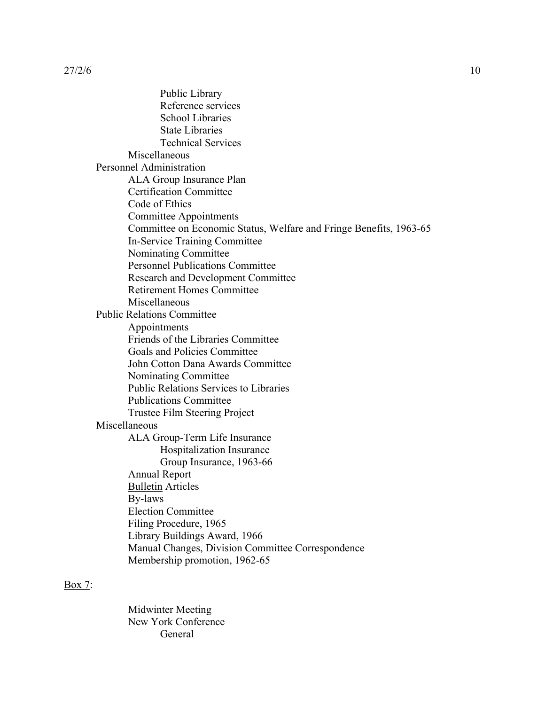Public Library Reference services School Libraries State Libraries Technical Services Miscellaneous Personnel Administration ALA Group Insurance Plan Certification Committee Code of Ethics Committee Appointments Committee on Economic Status, Welfare and Fringe Benefits, 1963-65 In-Service Training Committee Nominating Committee Personnel Publications Committee Research and Development Committee Retirement Homes Committee Miscellaneous Public Relations Committee Appointments Friends of the Libraries Committee Goals and Policies Committee John Cotton Dana Awards Committee Nominating Committee Public Relations Services to Libraries Publications Committee Trustee Film Steering Project Miscellaneous ALA Group-Term Life Insurance Hospitalization Insurance Group Insurance, 1963-66 Annual Report Bulletin Articles By-laws Election Committee Filing Procedure, 1965 Library Buildings Award, 1966 Manual Changes, Division Committee Correspondence Membership promotion, 1962-65

## Box 7:

Midwinter Meeting New York Conference General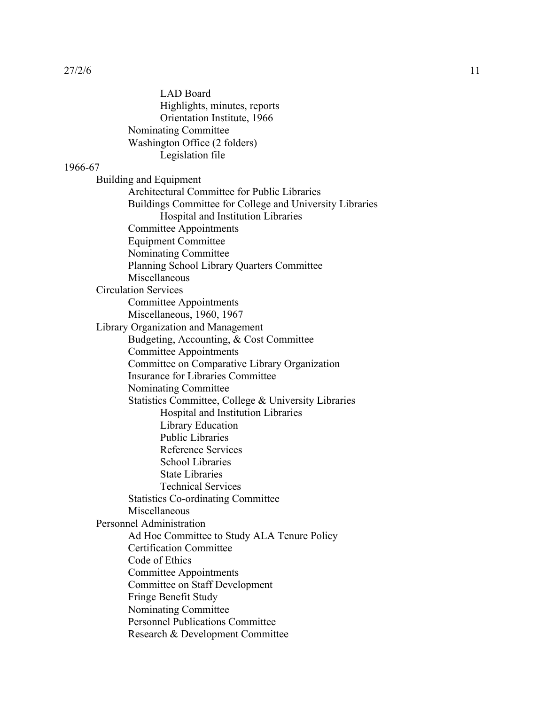LAD Board Highlights, minutes, reports Orientation Institute, 1966 Nominating Committee Washington Office (2 folders) Legislation file 1966-67 Building and Equipment Architectural Committee for Public Libraries Buildings Committee for College and University Libraries Hospital and Institution Libraries Committee Appointments Equipment Committee Nominating Committee Planning School Library Quarters Committee Miscellaneous Circulation Services Committee Appointments Miscellaneous, 1960, 1967 Library Organization and Management Budgeting, Accounting, & Cost Committee Committee Appointments Committee on Comparative Library Organization Insurance for Libraries Committee Nominating Committee Statistics Committee, College & University Libraries Hospital and Institution Libraries Library Education Public Libraries Reference Services School Libraries State Libraries Technical Services Statistics Co-ordinating Committee Miscellaneous Personnel Administration Ad Hoc Committee to Study ALA Tenure Policy Certification Committee Code of Ethics Committee Appointments Committee on Staff Development Fringe Benefit Study Nominating Committee Personnel Publications Committee

Research & Development Committee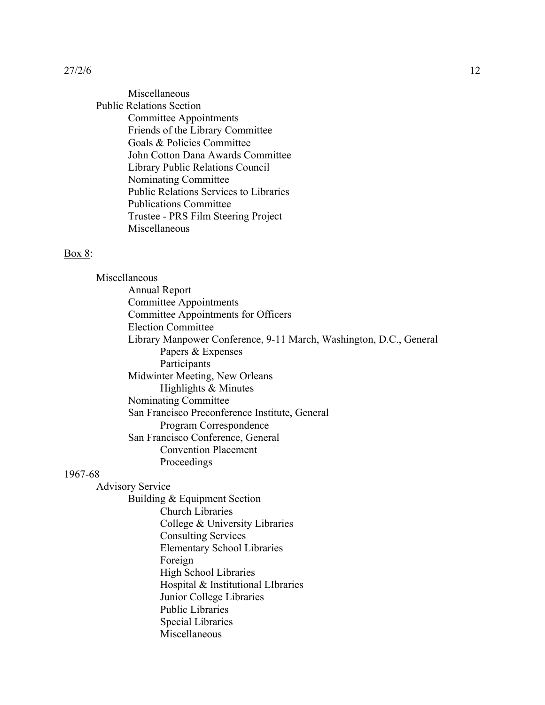Miscellaneous Public Relations Section Committee Appointments Friends of the Library Committee Goals & Policies Committee John Cotton Dana Awards Committee Library Public Relations Council Nominating Committee Public Relations Services to Libraries Publications Committee Trustee - PRS Film Steering Project Miscellaneous

#### Box 8:

Miscellaneous Annual Report Committee Appointments Committee Appointments for Officers Election Committee Library Manpower Conference, 9-11 March, Washington, D.C., General Papers & Expenses Participants Midwinter Meeting, New Orleans Highlights & Minutes Nominating Committee San Francisco Preconference Institute, General Program Correspondence San Francisco Conference, General Convention Placement Proceedings

#### 1967-68

Advisory Service

Building & Equipment Section Church Libraries

College & University Libraries Consulting Services Elementary School Libraries Foreign High School Libraries Hospital & Institutional LIbraries Junior College Libraries Public Libraries Special Libraries Miscellaneous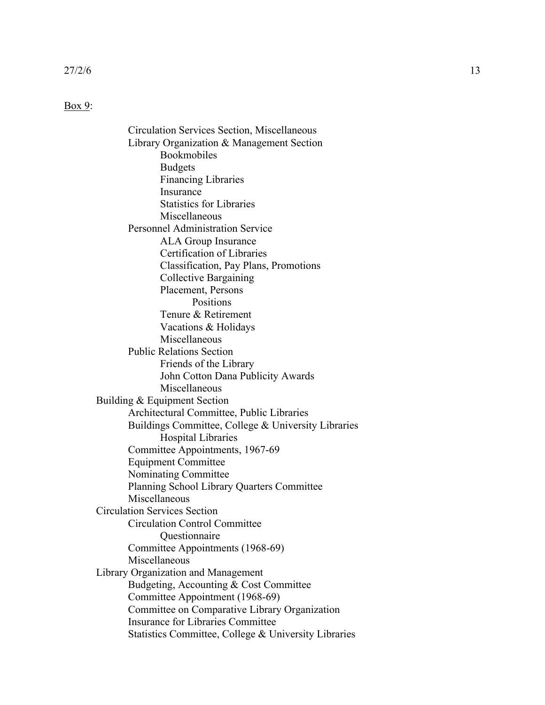#### Box 9:

Circulation Services Section, Miscellaneous Library Organization & Management Section Bookmobiles Budgets Financing Libraries Insurance Statistics for Libraries Miscellaneous Personnel Administration Service ALA Group Insurance Certification of Libraries Classification, Pay Plans, Promotions Collective Bargaining Placement, Persons Positions Tenure & Retirement Vacations & Holidays Miscellaneous Public Relations Section Friends of the Library John Cotton Dana Publicity Awards Miscellaneous Building & Equipment Section Architectural Committee, Public Libraries Buildings Committee, College & University Libraries Hospital Libraries Committee Appointments, 1967-69 Equipment Committee Nominating Committee Planning School Library Quarters Committee Miscellaneous Circulation Services Section Circulation Control Committee Questionnaire Committee Appointments (1968-69) Miscellaneous Library Organization and Management Budgeting, Accounting & Cost Committee Committee Appointment (1968-69) Committee on Comparative Library Organization Insurance for Libraries Committee Statistics Committee, College & University Libraries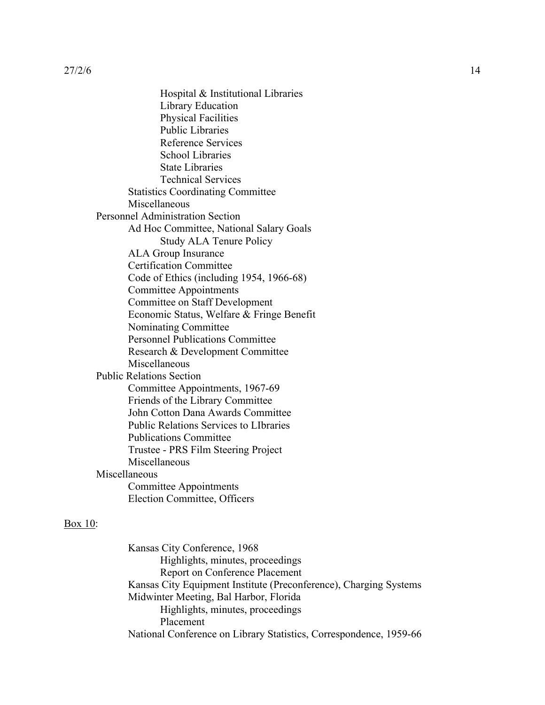Hospital & Institutional Libraries Library Education Physical Facilities Public Libraries Reference Services School Libraries State Libraries Technical Services Statistics Coordinating Committee Miscellaneous Personnel Administration Section Ad Hoc Committee, National Salary Goals Study ALA Tenure Policy ALA Group Insurance Certification Committee Code of Ethics (including 1954, 1966-68) Committee Appointments Committee on Staff Development Economic Status, Welfare & Fringe Benefit Nominating Committee Personnel Publications Committee Research & Development Committee Miscellaneous Public Relations Section Committee Appointments, 1967-69 Friends of the Library Committee John Cotton Dana Awards Committee Public Relations Services to LIbraries Publications Committee Trustee - PRS Film Steering Project Miscellaneous Miscellaneous Committee Appointments Election Committee, Officers

#### Box 10:

Kansas City Conference, 1968 Highlights, minutes, proceedings Report on Conference Placement Kansas City Equipment Institute (Preconference), Charging Systems Midwinter Meeting, Bal Harbor, Florida Highlights, minutes, proceedings Placement National Conference on Library Statistics, Correspondence, 1959-66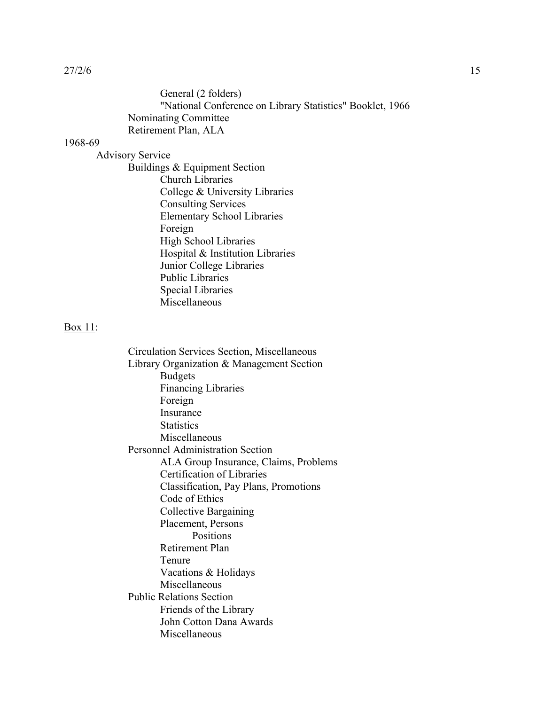| General (2 folders)                                       |  |
|-----------------------------------------------------------|--|
| "National Conference on Library Statistics" Booklet, 1966 |  |
| <b>Nominating Committee</b>                               |  |
| Retirement Plan, ALA                                      |  |

#### 1968-69

Advisory Service

Buildings & Equipment Section Church Libraries College & University Libraries Consulting Services Elementary School Libraries Foreign High School Libraries Hospital & Institution Libraries Junior College Libraries Public Libraries Special Libraries Miscellaneous

#### Box 11:

Circulation Services Section, Miscellaneous Library Organization & Management Section Budgets Financing Libraries Foreign Insurance **Statistics** Miscellaneous Personnel Administration Section ALA Group Insurance, Claims, Problems Certification of Libraries Classification, Pay Plans, Promotions Code of Ethics Collective Bargaining Placement, Persons Positions Retirement Plan Tenure Vacations & Holidays Miscellaneous Public Relations Section Friends of the Library John Cotton Dana Awards Miscellaneous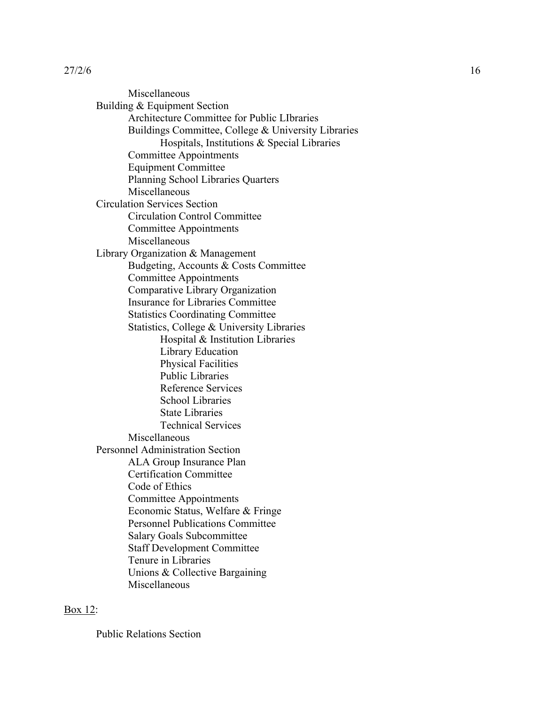Miscellaneous Building & Equipment Section Architecture Committee for Public LIbraries Buildings Committee, College & University Libraries Hospitals, Institutions & Special Libraries Committee Appointments Equipment Committee Planning School Libraries Quarters Miscellaneous Circulation Services Section Circulation Control Committee Committee Appointments Miscellaneous Library Organization & Management Budgeting, Accounts & Costs Committee Committee Appointments Comparative Library Organization Insurance for Libraries Committee Statistics Coordinating Committee Statistics, College & University Libraries Hospital & Institution Libraries Library Education Physical Facilities Public Libraries Reference Services School Libraries State Libraries Technical Services Miscellaneous Personnel Administration Section ALA Group Insurance Plan Certification Committee Code of Ethics Committee Appointments Economic Status, Welfare & Fringe Personnel Publications Committee Salary Goals Subcommittee Staff Development Committee Tenure in Libraries Unions & Collective Bargaining Miscellaneous

## Box 12:

Public Relations Section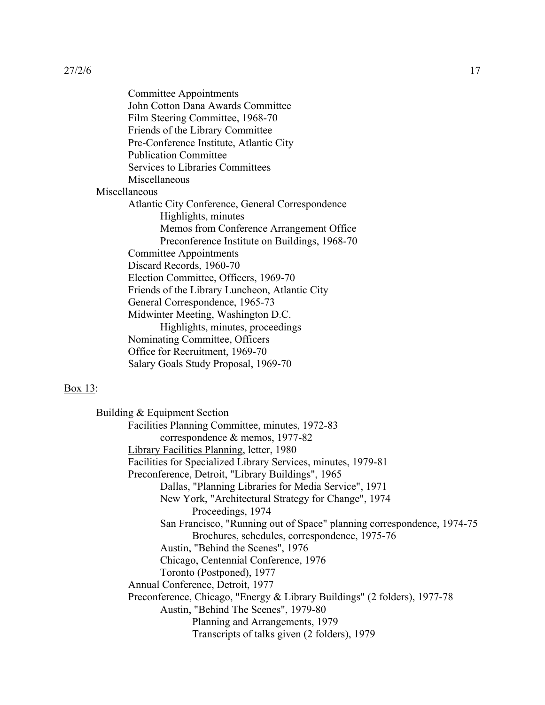| Committee Appointments                           |
|--------------------------------------------------|
| John Cotton Dana Awards Committee                |
| Film Steering Committee, 1968-70                 |
| Friends of the Library Committee                 |
| Pre-Conference Institute, Atlantic City          |
| <b>Publication Committee</b>                     |
| <b>Services to Libraries Committees</b>          |
| Miscellaneous                                    |
| Miscellaneous                                    |
| Atlantic City Conference, General Correspondence |
| Highlights, minutes                              |
| Memos from Conference Arrangement Office         |
| Preconference Institute on Buildings, 1968-70    |
| <b>Committee Appointments</b>                    |
| Discard Records, 1960-70                         |
| Election Committee, Officers, 1969-70            |
| Friends of the Library Luncheon, Atlantic City   |
| General Correspondence, 1965-73                  |
| Midwinter Meeting, Washington D.C.               |
| Highlights, minutes, proceedings                 |
| Nominating Committee, Officers                   |
| Office for Recruitment, 1969-70                  |
| Salary Goals Study Proposal, 1969-70             |

#### Box 13:

Building & Equipment Section Facilities Planning Committee, minutes, 1972-83 correspondence & memos, 1977-82 Library Facilities Planning, letter, 1980 Facilities for Specialized Library Services, minutes, 1979-81 Preconference, Detroit, "Library Buildings", 1965 Dallas, "Planning Libraries for Media Service", 1971 New York, "Architectural Strategy for Change", 1974 Proceedings, 1974 San Francisco, "Running out of Space" planning correspondence, 1974-75 Brochures, schedules, correspondence, 1975-76 Austin, "Behind the Scenes", 1976 Chicago, Centennial Conference, 1976 Toronto (Postponed), 1977 Annual Conference, Detroit, 1977 Preconference, Chicago, "Energy & Library Buildings" (2 folders), 1977-78 Austin, "Behind The Scenes", 1979-80 Planning and Arrangements, 1979 Transcripts of talks given (2 folders), 1979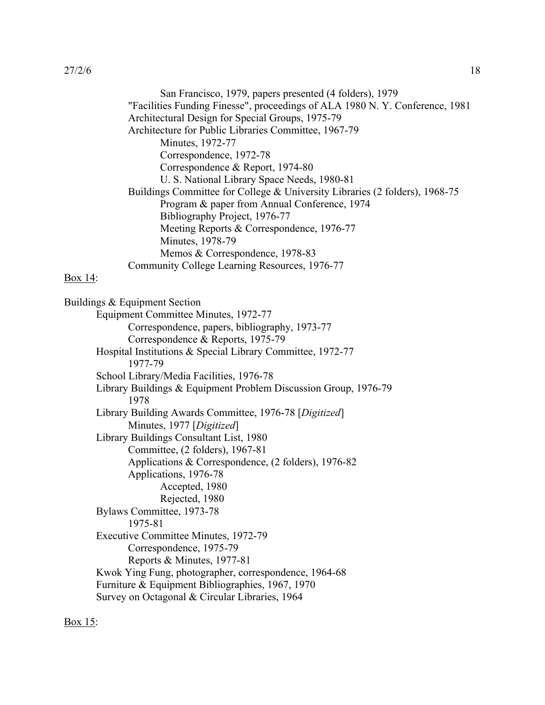| San Francisco, 1979, papers presented (4 folders), 1979                     |
|-----------------------------------------------------------------------------|
| "Facilities Funding Finesse", proceedings of ALA 1980 N.Y. Conference, 1981 |
| Architectural Design for Special Groups, 1975-79                            |
| Architecture for Public Libraries Committee, 1967-79                        |
| Minutes, 1972-77                                                            |
| Correspondence, 1972-78                                                     |
| Correspondence & Report, 1974-80                                            |
| U. S. National Library Space Needs, 1980-81                                 |
| Buildings Committee for College & University Libraries (2 folders), 1968-75 |
| Program & paper from Annual Conference, 1974                                |
| Bibliography Project, 1976-77                                               |
| Meeting Reports & Correspondence, 1976-77                                   |
| Minutes, 1978-79                                                            |
| Memos & Correspondence, 1978-83                                             |
| Community College Learning Resources, 1976-77                               |
| $Box 14$ :                                                                  |
| Buildings & Equipment Section                                               |
| Equipment Committee Minutes, 1972-77                                        |
| Correspondence, papers, bibliography, 1973-77                               |
| Correspondence & Reports, 1975-79                                           |
| Hospital Institutions & Special Library Committee, 1972-77                  |
| 1977-79                                                                     |
| School Library/Media Facilities, 1976-78                                    |

Library Buildings & Equipment Problem Discussion Group, 1976-79 1978

Library Building Awards Committee, 1976-78 [*Digitized*] Minutes, 1977 [*Digitized*]

Library Buildings Consultant List, 1980 Committee, (2 folders), 1967-81 Applications & Correspondence, (2 folders), 1976-82 Applications, 1976-78 Accepted, 1980 Rejected, 1980 Bylaws Committee, 1973-78 1975-81 Executive Committee Minutes, 1972-79 Correspondence, 1975-79 Reports & Minutes, 1977-81

Kwok Ying Fung, photographer, correspondence, 1964-68 Furniture & Equipment Bibliographies, 1967, 1970 Survey on Octagonal & Circular Libraries, 1964

Box 15: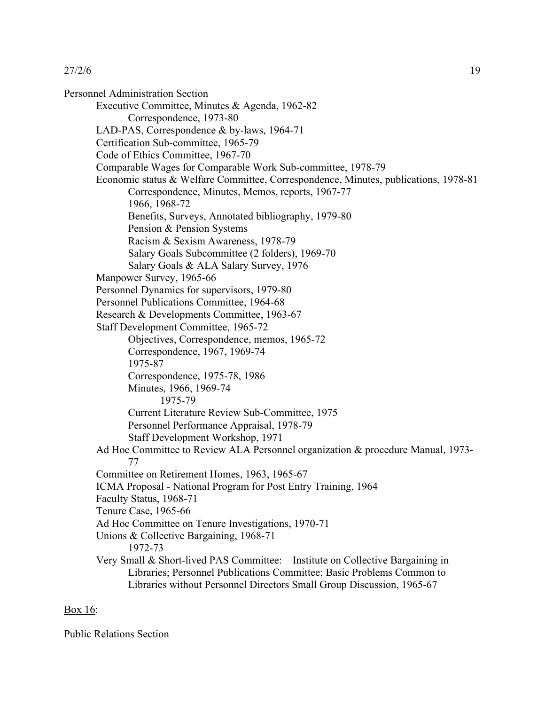Personnel Administration Section Executive Committee, Minutes & Agenda, 1962-82 Correspondence, 1973-80 LAD-PAS, Correspondence & by-laws, 1964-71 Certification Sub-committee, 1965-79 Code of Ethics Committee, 1967-70 Comparable Wages for Comparable Work Sub-committee, 1978-79 Economic status & Welfare Committee, Correspondence, Minutes, publications, 1978-81 Correspondence, Minutes, Memos, reports, 1967-77 1966, 1968-72 Benefits, Surveys, Annotated bibliography, 1979-80 Pension & Pension Systems Racism & Sexism Awareness, 1978-79 Salary Goals Subcommittee (2 folders), 1969-70 Salary Goals & ALA Salary Survey, 1976 Manpower Survey, 1965-66 Personnel Dynamics for supervisors, 1979-80 Personnel Publications Committee, 1964-68 Research & Developments Committee, 1963-67 Staff Development Committee, 1965-72 Objectives, Correspondence, memos, 1965-72 Correspondence, 1967, 1969-74 1975-87 Correspondence, 1975-78, 1986 Minutes, 1966, 1969-74 1975-79 Current Literature Review Sub-Committee, 1975 Personnel Performance Appraisal, 1978-79 Staff Development Workshop, 1971 Ad Hoc Committee to Review ALA Personnel organization & procedure Manual, 1973- 77 Committee on Retirement Homes, 1963, 1965-67 ICMA Proposal - National Program for Post Entry Training, 1964 Faculty Status, 1968-71 Tenure Case, 1965-66 Ad Hoc Committee on Tenure Investigations, 1970-71 Unions & Collective Bargaining, 1968-71 1972-73 Very Small & Short-lived PAS Committee: Institute on Collective Bargaining in Libraries; Personnel Publications Committee; Basic Problems Common to Libraries without Personnel Directors Small Group Discussion, 1965-67

## Box 16:

Public Relations Section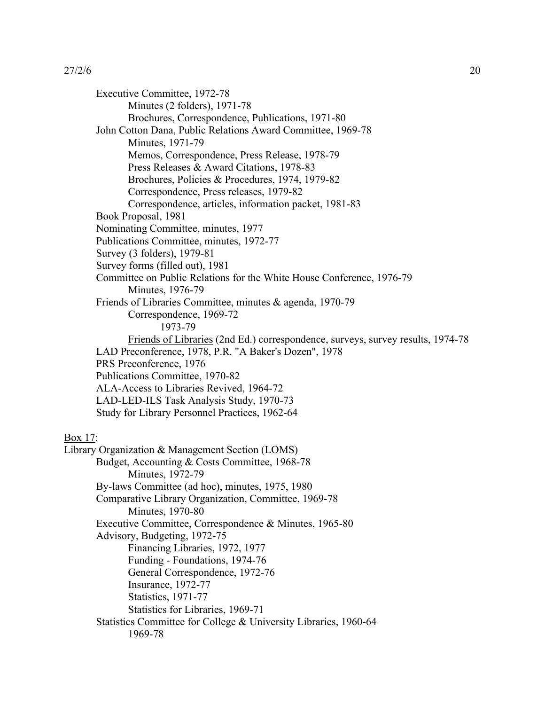Executive Committee, 1972-78 Minutes (2 folders), 1971-78 Brochures, Correspondence, Publications, 1971-80 John Cotton Dana, Public Relations Award Committee, 1969-78 Minutes, 1971-79 Memos, Correspondence, Press Release, 1978-79 Press Releases & Award Citations, 1978-83 Brochures, Policies & Procedures, 1974, 1979-82 Correspondence, Press releases, 1979-82 Correspondence, articles, information packet, 1981-83 Book Proposal, 1981 Nominating Committee, minutes, 1977 Publications Committee, minutes, 1972-77 Survey (3 folders), 1979-81 Survey forms (filled out), 1981 Committee on Public Relations for the White House Conference, 1976-79 Minutes, 1976-79 Friends of Libraries Committee, minutes & agenda, 1970-79 Correspondence, 1969-72 1973-79 Friends of Libraries (2nd Ed.) correspondence, surveys, survey results, 1974-78 LAD Preconference, 1978, P.R. "A Baker's Dozen", 1978 PRS Preconference, 1976 Publications Committee, 1970-82 ALA-Access to Libraries Revived, 1964-72 LAD-LED-ILS Task Analysis Study, 1970-73 Study for Library Personnel Practices, 1962-64 Box 17: Library Organization & Management Section (LOMS) Budget, Accounting & Costs Committee, 1968-78 Minutes, 1972-79 By-laws Committee (ad hoc), minutes, 1975, 1980 Comparative Library Organization, Committee, 1969-78 Minutes, 1970-80 Executive Committee, Correspondence & Minutes, 1965-80 Advisory, Budgeting, 1972-75 Financing Libraries, 1972, 1977 Funding - Foundations, 1974-76 General Correspondence, 1972-76 Insurance, 1972-77 Statistics, 1971-77 Statistics for Libraries, 1969-71 Statistics Committee for College & University Libraries, 1960-64 1969-78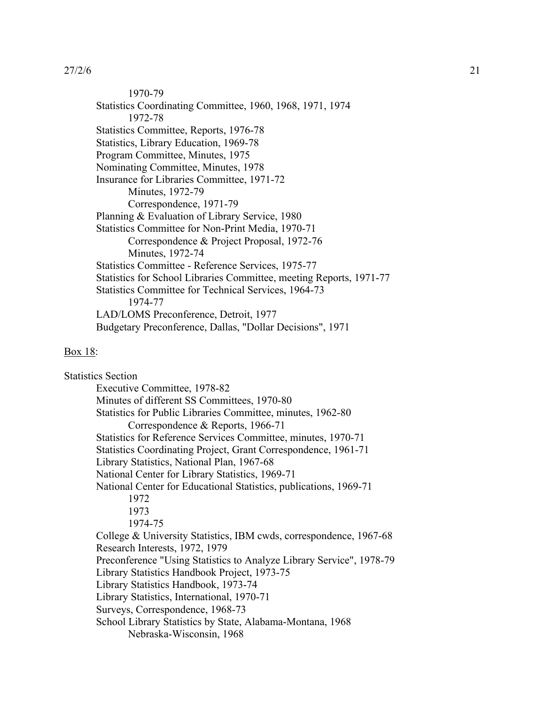1970-79 Statistics Coordinating Committee, 1960, 1968, 1971, 1974 1972-78 Statistics Committee, Reports, 1976-78 Statistics, Library Education, 1969-78 Program Committee, Minutes, 1975 Nominating Committee, Minutes, 1978 Insurance for Libraries Committee, 1971-72 Minutes, 1972-79 Correspondence, 1971-79 Planning & Evaluation of Library Service, 1980 Statistics Committee for Non-Print Media, 1970-71 Correspondence & Project Proposal, 1972-76 Minutes, 1972-74 Statistics Committee - Reference Services, 1975-77 Statistics for School Libraries Committee, meeting Reports, 1971-77 Statistics Committee for Technical Services, 1964-73 1974-77 LAD/LOMS Preconference, Detroit, 1977 Budgetary Preconference, Dallas, "Dollar Decisions", 1971

#### Box 18:

Statistics Section Executive Committee, 1978-82 Minutes of different SS Committees, 1970-80 Statistics for Public Libraries Committee, minutes, 1962-80 Correspondence & Reports, 1966-71 Statistics for Reference Services Committee, minutes, 1970-71 Statistics Coordinating Project, Grant Correspondence, 1961-71 Library Statistics, National Plan, 1967-68 National Center for Library Statistics, 1969-71 National Center for Educational Statistics, publications, 1969-71 1972 1973 1974-75 College & University Statistics, IBM cwds, correspondence, 1967-68 Research Interests, 1972, 1979 Preconference "Using Statistics to Analyze Library Service", 1978-79 Library Statistics Handbook Project, 1973-75 Library Statistics Handbook, 1973-74 Library Statistics, International, 1970-71 Surveys, Correspondence, 1968-73 School Library Statistics by State, Alabama-Montana, 1968 Nebraska-Wisconsin, 1968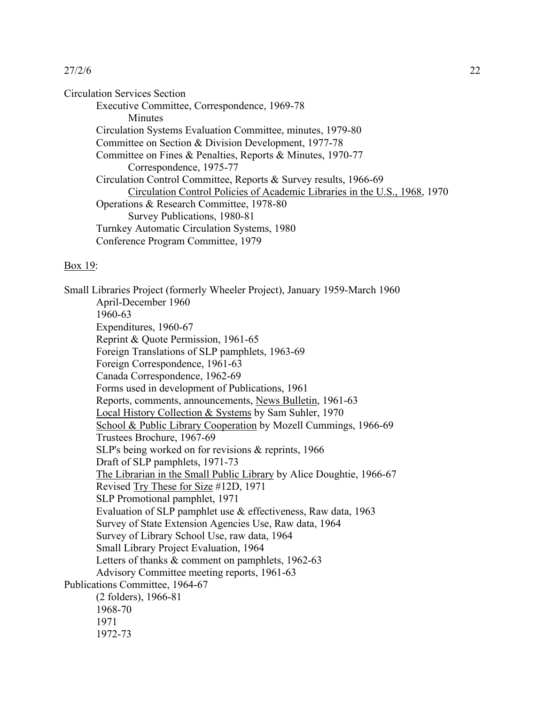Circulation Services Section Executive Committee, Correspondence, 1969-78 **Minutes** Circulation Systems Evaluation Committee, minutes, 1979-80 Committee on Section & Division Development, 1977-78 Committee on Fines & Penalties, Reports & Minutes, 1970-77 Correspondence, 1975-77 Circulation Control Committee, Reports & Survey results, 1966-69 Circulation Control Policies of Academic Libraries in the U.S., 1968, 1970 Operations & Research Committee, 1978-80 Survey Publications, 1980-81 Turnkey Automatic Circulation Systems, 1980 Conference Program Committee, 1979

#### Box 19:

Small Libraries Project (formerly Wheeler Project), January 1959-March 1960 April-December 1960 1960-63 Expenditures, 1960-67 Reprint & Quote Permission, 1961-65 Foreign Translations of SLP pamphlets, 1963-69 Foreign Correspondence, 1961-63 Canada Correspondence, 1962-69 Forms used in development of Publications, 1961 Reports, comments, announcements, News Bulletin, 1961-63 Local History Collection & Systems by Sam Suhler, 1970 School & Public Library Cooperation by Mozell Cummings, 1966-69 Trustees Brochure, 1967-69 SLP's being worked on for revisions & reprints, 1966 Draft of SLP pamphlets, 1971-73 The Librarian in the Small Public Library by Alice Doughtie, 1966-67 Revised Try These for Size #12D, 1971 SLP Promotional pamphlet, 1971 Evaluation of SLP pamphlet use & effectiveness, Raw data, 1963 Survey of State Extension Agencies Use, Raw data, 1964 Survey of Library School Use, raw data, 1964 Small Library Project Evaluation, 1964 Letters of thanks & comment on pamphlets, 1962-63 Advisory Committee meeting reports, 1961-63 Publications Committee, 1964-67 (2 folders), 1966-81 1968-70 1971 1972-73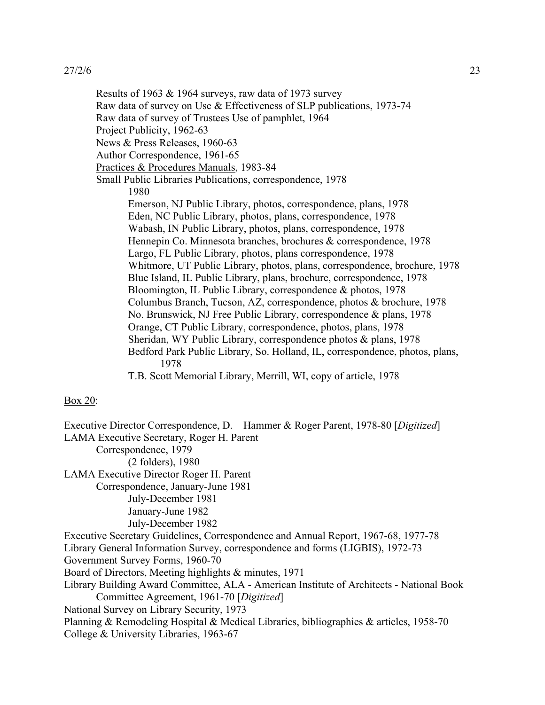Results of 1963 & 1964 surveys, raw data of 1973 survey Raw data of survey on Use & Effectiveness of SLP publications, 1973-74 Raw data of survey of Trustees Use of pamphlet, 1964 Project Publicity, 1962-63 News & Press Releases, 1960-63 Author Correspondence, 1961-65 Practices & Procedures Manuals, 1983-84 Small Public Libraries Publications, correspondence, 1978 1980 Emerson, NJ Public Library, photos, correspondence, plans, 1978 Eden, NC Public Library, photos, plans, correspondence, 1978 Wabash, IN Public Library, photos, plans, correspondence, 1978 Hennepin Co. Minnesota branches, brochures & correspondence, 1978 Largo, FL Public Library, photos, plans correspondence, 1978 Whitmore, UT Public Library, photos, plans, correspondence, brochure, 1978 Blue Island, IL Public Library, plans, brochure, correspondence, 1978 Bloomington, IL Public Library, correspondence & photos, 1978 Columbus Branch, Tucson, AZ, correspondence, photos & brochure, 1978 No. Brunswick, NJ Free Public Library, correspondence & plans, 1978 Orange, CT Public Library, correspondence, photos, plans, 1978 Sheridan, WY Public Library, correspondence photos & plans, 1978 Bedford Park Public Library, So. Holland, IL, correspondence, photos, plans, 1978 T.B. Scott Memorial Library, Merrill, WI, copy of article, 1978

## Box 20:

Executive Director Correspondence, D. Hammer & Roger Parent, 1978-80 [*Digitized*] LAMA Executive Secretary, Roger H. Parent Correspondence, 1979 (2 folders), 1980 LAMA Executive Director Roger H. Parent Correspondence, January-June 1981 July-December 1981 January-June 1982 July-December 1982 Executive Secretary Guidelines, Correspondence and Annual Report, 1967-68, 1977-78 Library General Information Survey, correspondence and forms (LIGBIS), 1972-73 Government Survey Forms, 1960-70 Board of Directors, Meeting highlights & minutes, 1971 Library Building Award Committee, ALA - American Institute of Architects - National Book Committee Agreement, 1961-70 [*Digitized*] National Survey on Library Security, 1973 Planning & Remodeling Hospital & Medical Libraries, bibliographies & articles, 1958-70 College & University Libraries, 1963-67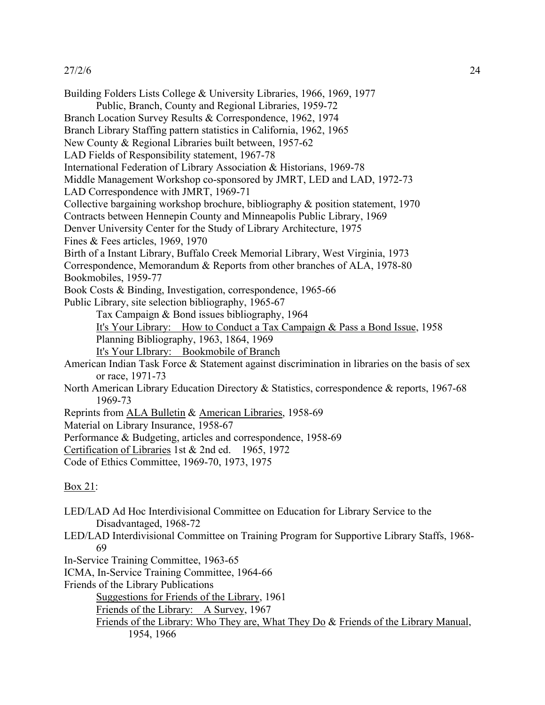Building Folders Lists College & University Libraries, 1966, 1969, 1977 Public, Branch, County and Regional Libraries, 1959-72 Branch Location Survey Results & Correspondence, 1962, 1974 Branch Library Staffing pattern statistics in California, 1962, 1965 New County & Regional Libraries built between, 1957-62 LAD Fields of Responsibility statement, 1967-78 International Federation of Library Association & Historians, 1969-78 Middle Management Workshop co-sponsored by JMRT, LED and LAD, 1972-73 LAD Correspondence with JMRT, 1969-71 Collective bargaining workshop brochure, bibliography & position statement, 1970 Contracts between Hennepin County and Minneapolis Public Library, 1969 Denver University Center for the Study of Library Architecture, 1975 Fines & Fees articles, 1969, 1970 Birth of a Instant Library, Buffalo Creek Memorial Library, West Virginia, 1973 Correspondence, Memorandum & Reports from other branches of ALA, 1978-80 Bookmobiles, 1959-77 Book Costs & Binding, Investigation, correspondence, 1965-66 Public Library, site selection bibliography, 1965-67 Tax Campaign & Bond issues bibliography, 1964 It's Your Library: How to Conduct a Tax Campaign & Pass a Bond Issue, 1958 Planning Bibliography, 1963, 1864, 1969 It's Your LIbrary: Bookmobile of Branch American Indian Task Force & Statement against discrimination in libraries on the basis of sex or race, 1971-73 North American Library Education Directory & Statistics, correspondence & reports, 1967-68 1969-73 Reprints from ALA Bulletin & American Libraries, 1958-69 Material on Library Insurance, 1958-67 Performance & Budgeting, articles and correspondence, 1958-69 Certification of Libraries 1st & 2nd ed. 1965, 1972 Code of Ethics Committee, 1969-70, 1973, 1975 Box 21:

- LED/LAD Ad Hoc Interdivisional Committee on Education for Library Service to the Disadvantaged, 1968-72
- LED/LAD Interdivisional Committee on Training Program for Supportive Library Staffs, 1968- 69
- In-Service Training Committee, 1963-65
- ICMA, In-Service Training Committee, 1964-66
- Friends of the Library Publications

Suggestions for Friends of the Library, 1961

- Friends of the Library: A Survey, 1967
- Friends of the Library: Who They are, What They Do & Friends of the Library Manual, 1954, 1966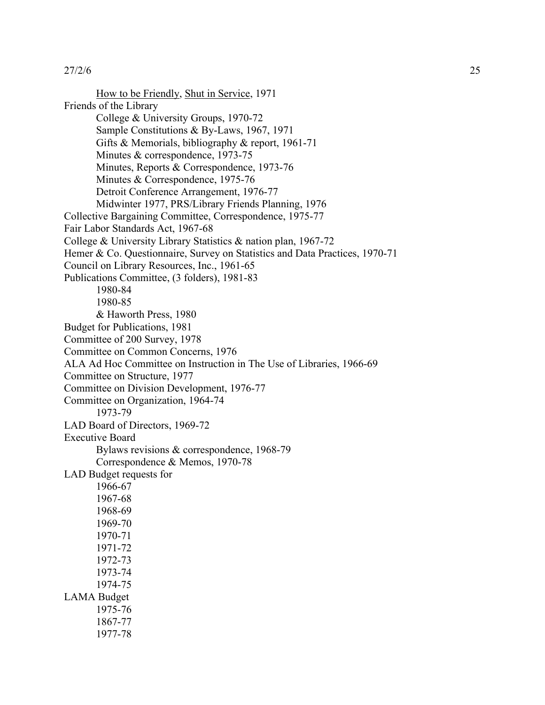How to be Friendly, Shut in Service, 1971 Friends of the Library College & University Groups, 1970-72 Sample Constitutions & By-Laws, 1967, 1971 Gifts & Memorials, bibliography & report, 1961-71 Minutes & correspondence, 1973-75 Minutes, Reports & Correspondence, 1973-76 Minutes & Correspondence, 1975-76 Detroit Conference Arrangement, 1976-77 Midwinter 1977, PRS/Library Friends Planning, 1976 Collective Bargaining Committee, Correspondence, 1975-77 Fair Labor Standards Act, 1967-68 College & University Library Statistics & nation plan, 1967-72 Hemer & Co. Questionnaire, Survey on Statistics and Data Practices, 1970-71 Council on Library Resources, Inc., 1961-65 Publications Committee, (3 folders), 1981-83 1980-84 1980-85 & Haworth Press, 1980 Budget for Publications, 1981 Committee of 200 Survey, 1978 Committee on Common Concerns, 1976 ALA Ad Hoc Committee on Instruction in The Use of Libraries, 1966-69 Committee on Structure, 1977 Committee on Division Development, 1976-77 Committee on Organization, 1964-74 1973-79 LAD Board of Directors, 1969-72 Executive Board Bylaws revisions & correspondence, 1968-79 Correspondence & Memos, 1970-78 LAD Budget requests for 1966-67 1967-68 1968-69 1969-70 1970-71 1971-72 1972-73 1973-74 1974-75 LAMA Budget 1975-76 1867-77 1977-78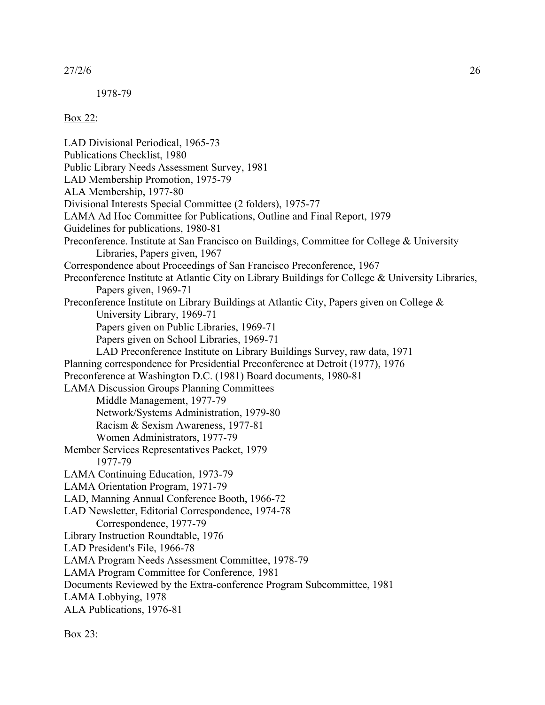1978-79

## Box 22:

LAD Divisional Periodical, 1965-73 Publications Checklist, 1980 Public Library Needs Assessment Survey, 1981 LAD Membership Promotion, 1975-79 ALA Membership, 1977-80 Divisional Interests Special Committee (2 folders), 1975-77 LAMA Ad Hoc Committee for Publications, Outline and Final Report, 1979 Guidelines for publications, 1980-81 Preconference. Institute at San Francisco on Buildings, Committee for College & University Libraries, Papers given, 1967 Correspondence about Proceedings of San Francisco Preconference, 1967 Preconference Institute at Atlantic City on Library Buildings for College & University Libraries, Papers given, 1969-71 Preconference Institute on Library Buildings at Atlantic City, Papers given on College & University Library, 1969-71 Papers given on Public Libraries, 1969-71 Papers given on School Libraries, 1969-71 LAD Preconference Institute on Library Buildings Survey, raw data, 1971 Planning correspondence for Presidential Preconference at Detroit (1977), 1976 Preconference at Washington D.C. (1981) Board documents, 1980-81 LAMA Discussion Groups Planning Committees Middle Management, 1977-79 Network/Systems Administration, 1979-80 Racism & Sexism Awareness, 1977-81 Women Administrators, 1977-79 Member Services Representatives Packet, 1979 1977-79 LAMA Continuing Education, 1973-79 LAMA Orientation Program, 1971-79 LAD, Manning Annual Conference Booth, 1966-72 LAD Newsletter, Editorial Correspondence, 1974-78 Correspondence, 1977-79 Library Instruction Roundtable, 1976 LAD President's File, 1966-78 LAMA Program Needs Assessment Committee, 1978-79 LAMA Program Committee for Conference, 1981 Documents Reviewed by the Extra-conference Program Subcommittee, 1981 LAMA Lobbying, 1978 ALA Publications, 1976-81

Box 23: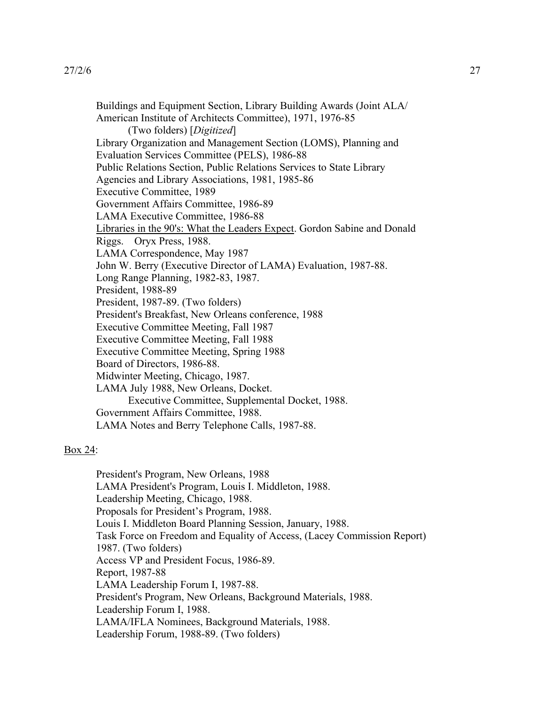Buildings and Equipment Section, Library Building Awards (Joint ALA/ American Institute of Architects Committee), 1971, 1976-85 (Two folders) [*Digitized*] Library Organization and Management Section (LOMS), Planning and Evaluation Services Committee (PELS), 1986-88 Public Relations Section, Public Relations Services to State Library Agencies and Library Associations, 1981, 1985-86 Executive Committee, 1989 Government Affairs Committee, 1986-89 LAMA Executive Committee, 1986-88 Libraries in the 90's: What the Leaders Expect. Gordon Sabine and Donald Riggs. Oryx Press, 1988. LAMA Correspondence, May 1987 John W. Berry (Executive Director of LAMA) Evaluation, 1987-88. Long Range Planning, 1982-83, 1987. President, 1988-89 President, 1987-89. (Two folders) President's Breakfast, New Orleans conference, 1988 Executive Committee Meeting, Fall 1987 Executive Committee Meeting, Fall 1988 Executive Committee Meeting, Spring 1988 Board of Directors, 1986-88. Midwinter Meeting, Chicago, 1987. LAMA July 1988, New Orleans, Docket. Executive Committee, Supplemental Docket, 1988. Government Affairs Committee, 1988. LAMA Notes and Berry Telephone Calls, 1987-88.

## Box 24:

President's Program, New Orleans, 1988 LAMA President's Program, Louis I. Middleton, 1988. Leadership Meeting, Chicago, 1988. Proposals for President's Program, 1988. Louis I. Middleton Board Planning Session, January, 1988. Task Force on Freedom and Equality of Access, (Lacey Commission Report) 1987. (Two folders) Access VP and President Focus, 1986-89. Report, 1987-88 LAMA Leadership Forum I, 1987-88. President's Program, New Orleans, Background Materials, 1988. Leadership Forum I, 1988. LAMA/IFLA Nominees, Background Materials, 1988. Leadership Forum, 1988-89. (Two folders)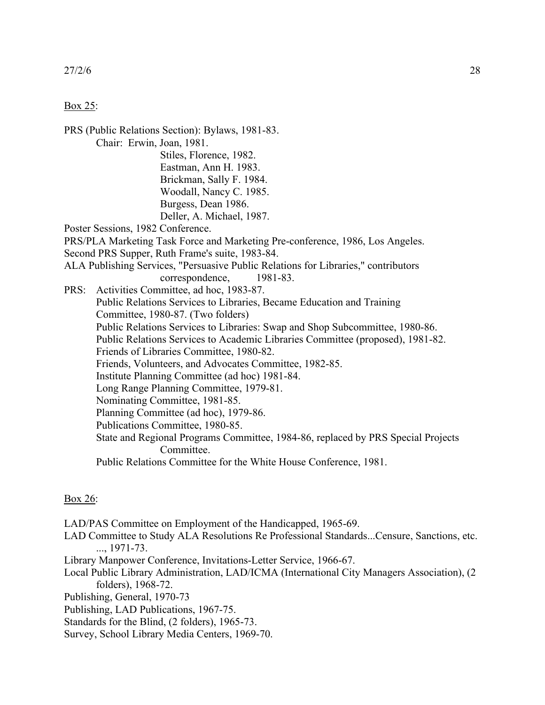#### Box 25:

PRS (Public Relations Section): Bylaws, 1981-83. Chair: Erwin, Joan, 1981. Stiles, Florence, 1982. Eastman, Ann H. 1983. Brickman, Sally F. 1984. Woodall, Nancy C. 1985. Burgess, Dean 1986. Deller, A. Michael, 1987. Poster Sessions, 1982 Conference. PRS/PLA Marketing Task Force and Marketing Pre-conference, 1986, Los Angeles. Second PRS Supper, Ruth Frame's suite, 1983-84. ALA Publishing Services, "Persuasive Public Relations for Libraries," contributors correspondence, 1981-83. PRS: Activities Committee, ad hoc, 1983-87. Public Relations Services to Libraries, Became Education and Training Committee, 1980-87. (Two folders) Public Relations Services to Libraries: Swap and Shop Subcommittee, 1980-86. Public Relations Services to Academic Libraries Committee (proposed), 1981-82. Friends of Libraries Committee, 1980-82. Friends, Volunteers, and Advocates Committee, 1982-85. Institute Planning Committee (ad hoc) 1981-84. Long Range Planning Committee, 1979-81. Nominating Committee, 1981-85. Planning Committee (ad hoc), 1979-86. Publications Committee, 1980-85. State and Regional Programs Committee, 1984-86, replaced by PRS Special Projects Committee. Public Relations Committee for the White House Conference, 1981.

## Box 26:

LAD/PAS Committee on Employment of the Handicapped, 1965-69.

- LAD Committee to Study ALA Resolutions Re Professional Standards...Censure, Sanctions, etc. ..., 1971-73.
- Library Manpower Conference, Invitations-Letter Service, 1966-67.
- Local Public Library Administration, LAD/ICMA (International City Managers Association), (2 folders), 1968-72.
- Publishing, General, 1970-73
- Publishing, LAD Publications, 1967-75.
- Standards for the Blind, (2 folders), 1965-73.
- Survey, School Library Media Centers, 1969-70.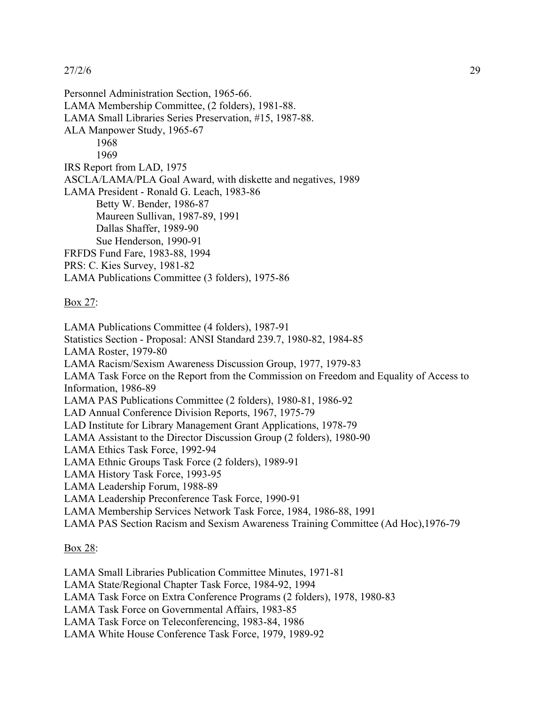Personnel Administration Section, 1965-66. LAMA Membership Committee, (2 folders), 1981-88. LAMA Small Libraries Series Preservation, #15, 1987-88. ALA Manpower Study, 1965-67 1968 1969 IRS Report from LAD, 1975 ASCLA/LAMA/PLA Goal Award, with diskette and negatives, 1989 LAMA President - Ronald G. Leach, 1983-86 Betty W. Bender, 1986-87 Maureen Sullivan, 1987-89, 1991 Dallas Shaffer, 1989-90 Sue Henderson, 1990-91 FRFDS Fund Fare, 1983-88, 1994 PRS: C. Kies Survey, 1981-82 LAMA Publications Committee (3 folders), 1975-86

## Box 27:

LAMA Publications Committee (4 folders), 1987-91 Statistics Section - Proposal: ANSI Standard 239.7, 1980-82, 1984-85 LAMA Roster, 1979-80 LAMA Racism/Sexism Awareness Discussion Group, 1977, 1979-83 LAMA Task Force on the Report from the Commission on Freedom and Equality of Access to Information, 1986-89 LAMA PAS Publications Committee (2 folders), 1980-81, 1986-92 LAD Annual Conference Division Reports, 1967, 1975-79 LAD Institute for Library Management Grant Applications, 1978-79 LAMA Assistant to the Director Discussion Group (2 folders), 1980-90 LAMA Ethics Task Force, 1992-94 LAMA Ethnic Groups Task Force (2 folders), 1989-91 LAMA History Task Force, 1993-95 LAMA Leadership Forum, 1988-89 LAMA Leadership Preconference Task Force, 1990-91 LAMA Membership Services Network Task Force, 1984, 1986-88, 1991 LAMA PAS Section Racism and Sexism Awareness Training Committee (Ad Hoc),1976-79

## Box 28:

LAMA Small Libraries Publication Committee Minutes, 1971-81 LAMA State/Regional Chapter Task Force, 1984-92, 1994 LAMA Task Force on Extra Conference Programs (2 folders), 1978, 1980-83 LAMA Task Force on Governmental Affairs, 1983-85 LAMA Task Force on Teleconferencing, 1983-84, 1986 LAMA White House Conference Task Force, 1979, 1989-92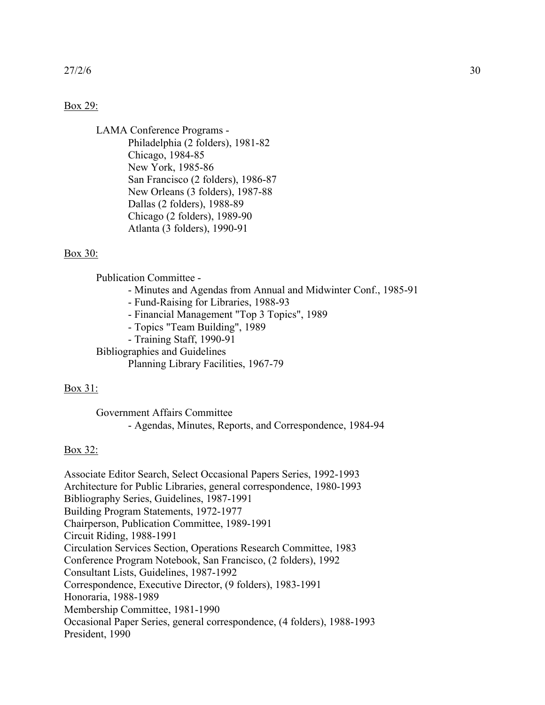#### Box 29:

LAMA Conference Programs - Philadelphia (2 folders), 1981-82 Chicago, 1984-85 New York, 1985-86 San Francisco (2 folders), 1986-87 New Orleans (3 folders), 1987-88 Dallas (2 folders), 1988-89 Chicago (2 folders), 1989-90 Atlanta (3 folders), 1990-91

#### Box 30:

Publication Committee -

- Minutes and Agendas from Annual and Midwinter Conf., 1985-91
- Fund-Raising for Libraries, 1988-93
- Financial Management "Top 3 Topics", 1989
- Topics "Team Building", 1989
- Training Staff, 1990-91

Bibliographies and Guidelines Planning Library Facilities, 1967-79

## Box 31:

Government Affairs Committee - Agendas, Minutes, Reports, and Correspondence, 1984-94

## Box 32:

Associate Editor Search, Select Occasional Papers Series, 1992-1993 Architecture for Public Libraries, general correspondence, 1980-1993 Bibliography Series, Guidelines, 1987-1991 Building Program Statements, 1972-1977 Chairperson, Publication Committee, 1989-1991 Circuit Riding, 1988-1991 Circulation Services Section, Operations Research Committee, 1983 Conference Program Notebook, San Francisco, (2 folders), 1992 Consultant Lists, Guidelines, 1987-1992 Correspondence, Executive Director, (9 folders), 1983-1991 Honoraria, 1988-1989 Membership Committee, 1981-1990 Occasional Paper Series, general correspondence, (4 folders), 1988-1993 President, 1990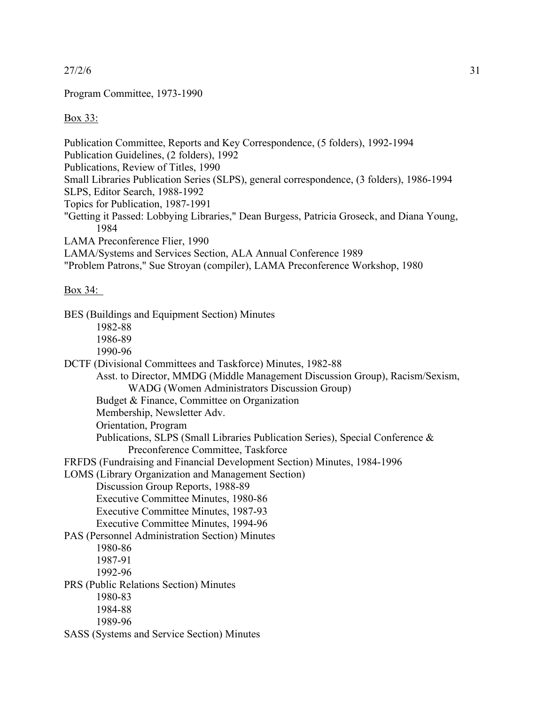Program Committee, 1973-1990

Box 33:

Publication Committee, Reports and Key Correspondence, (5 folders), 1992-1994 Publication Guidelines, (2 folders), 1992 Publications, Review of Titles, 1990 Small Libraries Publication Series (SLPS), general correspondence, (3 folders), 1986-1994 SLPS, Editor Search, 1988-1992 Topics for Publication, 1987-1991 "Getting it Passed: Lobbying Libraries," Dean Burgess, Patricia Groseck, and Diana Young, 1984 LAMA Preconference Flier, 1990 LAMA/Systems and Services Section, ALA Annual Conference 1989 "Problem Patrons," Sue Stroyan (compiler), LAMA Preconference Workshop, 1980

## Box 34:

| BES (Buildings and Equipment Section) Minutes                                 |
|-------------------------------------------------------------------------------|
| 1982-88                                                                       |
| 1986-89                                                                       |
| 1990-96                                                                       |
| DCTF (Divisional Committees and Taskforce) Minutes, 1982-88                   |
| Asst. to Director, MMDG (Middle Management Discussion Group), Racism/Sexism,  |
| WADG (Women Administrators Discussion Group)                                  |
| Budget & Finance, Committee on Organization                                   |
| Membership, Newsletter Adv.                                                   |
| Orientation, Program                                                          |
| Publications, SLPS (Small Libraries Publication Series), Special Conference & |
| Preconference Committee, Taskforce                                            |
| FRFDS (Fundraising and Financial Development Section) Minutes, 1984-1996      |
| LOMS (Library Organization and Management Section)                            |
| Discussion Group Reports, 1988-89                                             |
| Executive Committee Minutes, 1980-86                                          |
| Executive Committee Minutes, 1987-93                                          |
| Executive Committee Minutes, 1994-96                                          |
| PAS (Personnel Administration Section) Minutes                                |
| 1980-86                                                                       |
| 1987-91                                                                       |
| 1992-96                                                                       |
| PRS (Public Relations Section) Minutes                                        |
| 1980-83                                                                       |
| 1984-88                                                                       |
| 1989-96                                                                       |
| SASS (Systems and Service Section) Minutes                                    |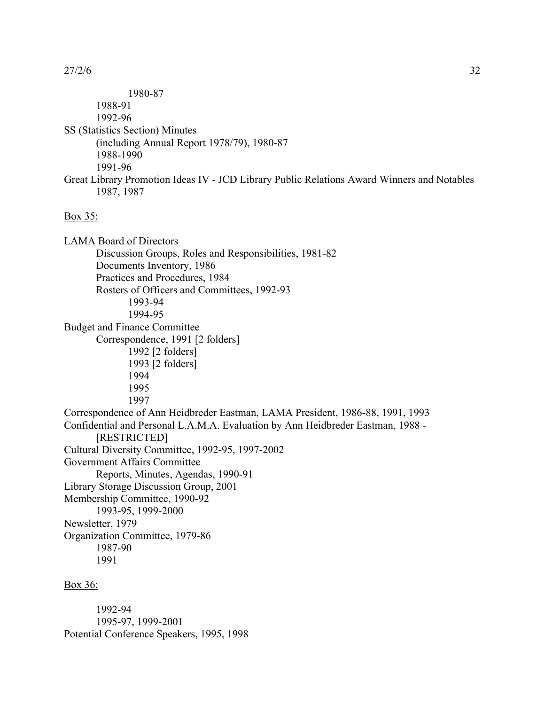1980-87 1988-91 1992-96 SS (Statistics Section) Minutes (including Annual Report 1978/79), 1980-87 1988-1990 1991-96 Great Library Promotion Ideas IV - JCD Library Public Relations Award Winners and Notables 1987, 1987 Box 35: LAMA Board of Directors Discussion Groups, Roles and Responsibilities, 1981-82 Documents Inventory, 1986 Practices and Procedures, 1984 Rosters of Officers and Committees, 1992-93 1993-94 1994-95 Budget and Finance Committee Correspondence, 1991 [2 folders] 1992 [2 folders] 1993 [2 folders] 1994 1995 1997 Correspondence of Ann Heidbreder Eastman, LAMA President, 1986-88, 1991, 1993 Confidential and Personal L.A.M.A. Evaluation by Ann Heidbreder Eastman, 1988 - [RESTRICTED] Cultural Diversity Committee, 1992-95, 1997-2002 Government Affairs Committee Reports, Minutes, Agendas, 1990-91 Library Storage Discussion Group, 2001 Membership Committee, 1990-92 1993-95, 1999-2000 Newsletter, 1979 Organization Committee, 1979-86 1987-90 1991 Box 36:

1992-94 1995-97, 1999-2001 Potential Conference Speakers, 1995, 1998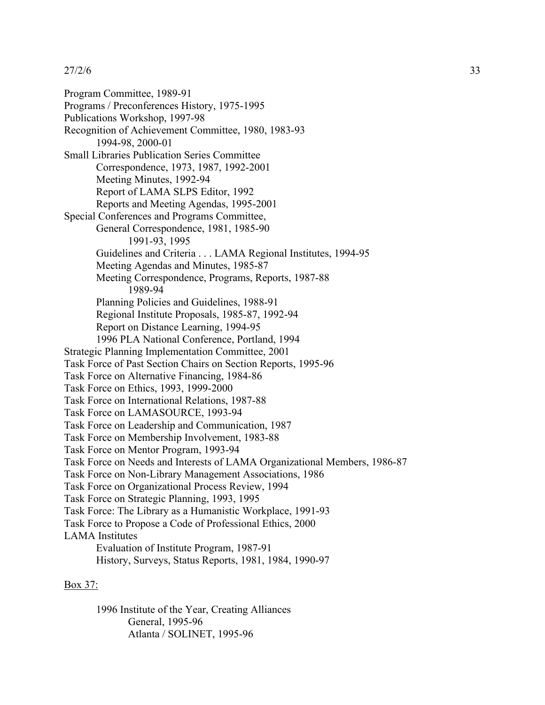Program Committee, 1989-91 Programs / Preconferences History, 1975-1995 Publications Workshop, 1997-98 Recognition of Achievement Committee, 1980, 1983-93 1994-98, 2000-01 Small Libraries Publication Series Committee Correspondence, 1973, 1987, 1992-2001 Meeting Minutes, 1992-94 Report of LAMA SLPS Editor, 1992 Reports and Meeting Agendas, 1995-2001 Special Conferences and Programs Committee, General Correspondence, 1981, 1985-90 1991-93, 1995 Guidelines and Criteria . . . LAMA Regional Institutes, 1994-95 Meeting Agendas and Minutes, 1985-87 Meeting Correspondence, Programs, Reports, 1987-88 1989-94 Planning Policies and Guidelines, 1988-91 Regional Institute Proposals, 1985-87, 1992-94 Report on Distance Learning, 1994-95 1996 PLA National Conference, Portland, 1994 Strategic Planning Implementation Committee, 2001 Task Force of Past Section Chairs on Section Reports, 1995-96 Task Force on Alternative Financing, 1984-86 Task Force on Ethics, 1993, 1999-2000 Task Force on International Relations, 1987-88 Task Force on LAMASOURCE, 1993-94 Task Force on Leadership and Communication, 1987 Task Force on Membership Involvement, 1983-88 Task Force on Mentor Program, 1993-94 Task Force on Needs and Interests of LAMA Organizational Members, 1986-87 Task Force on Non-Library Management Associations, 1986 Task Force on Organizational Process Review, 1994 Task Force on Strategic Planning, 1993, 1995 Task Force: The Library as a Humanistic Workplace, 1991-93 Task Force to Propose a Code of Professional Ethics, 2000 LAMA Institutes Evaluation of Institute Program, 1987-91 History, Surveys, Status Reports, 1981, 1984, 1990-97

## Box 37:

1996 Institute of the Year, Creating Alliances General, 1995-96 Atlanta / SOLINET, 1995-96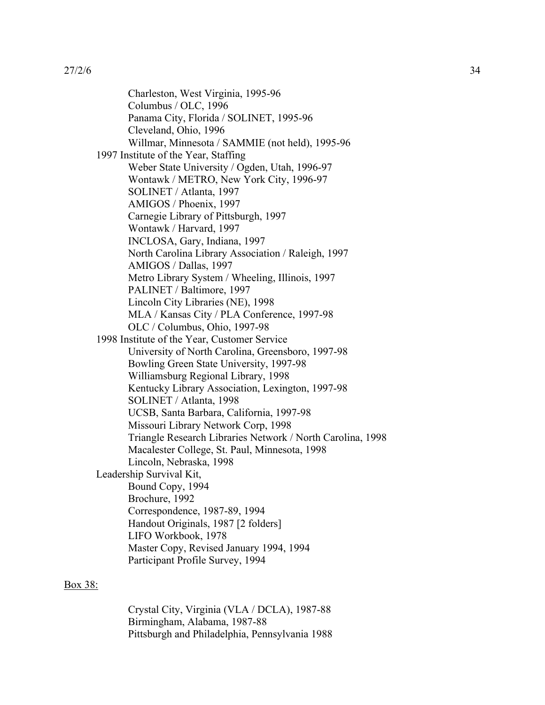Charleston, West Virginia, 1995-96 Columbus / OLC, 1996 Panama City, Florida / SOLINET, 1995-96 Cleveland, Ohio, 1996 Willmar, Minnesota / SAMMIE (not held), 1995-96 1997 Institute of the Year, Staffing Weber State University / Ogden, Utah, 1996-97 Wontawk / METRO, New York City, 1996-97 SOLINET / Atlanta, 1997 AMIGOS / Phoenix, 1997 Carnegie Library of Pittsburgh, 1997 Wontawk / Harvard, 1997 INCLOSA, Gary, Indiana, 1997 North Carolina Library Association / Raleigh, 1997 AMIGOS / Dallas, 1997 Metro Library System / Wheeling, Illinois, 1997 PALINET / Baltimore, 1997 Lincoln City Libraries (NE), 1998 MLA / Kansas City / PLA Conference, 1997-98 OLC / Columbus, Ohio, 1997-98 1998 Institute of the Year, Customer Service University of North Carolina, Greensboro, 1997-98 Bowling Green State University, 1997-98 Williamsburg Regional Library, 1998 Kentucky Library Association, Lexington, 1997-98 SOLINET / Atlanta, 1998 UCSB, Santa Barbara, California, 1997-98 Missouri Library Network Corp, 1998 Triangle Research Libraries Network / North Carolina, 1998 Macalester College, St. Paul, Minnesota, 1998 Lincoln, Nebraska, 1998 Leadership Survival Kit, Bound Copy, 1994 Brochure, 1992 Correspondence, 1987-89, 1994 Handout Originals, 1987 [2 folders] LIFO Workbook, 1978 Master Copy, Revised January 1994, 1994 Participant Profile Survey, 1994

#### Box 38:

Crystal City, Virginia (VLA / DCLA), 1987-88 Birmingham, Alabama, 1987-88 Pittsburgh and Philadelphia, Pennsylvania 1988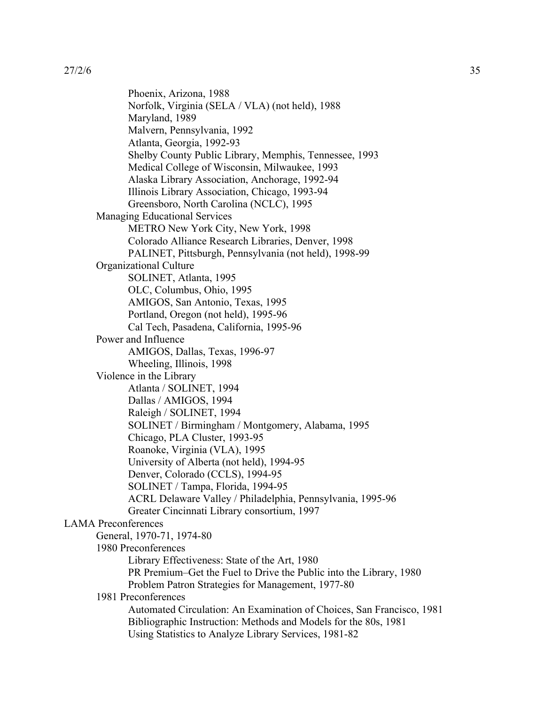Phoenix, Arizona, 1988 Norfolk, Virginia (SELA / VLA) (not held), 1988 Maryland, 1989 Malvern, Pennsylvania, 1992 Atlanta, Georgia, 1992-93 Shelby County Public Library, Memphis, Tennessee, 1993 Medical College of Wisconsin, Milwaukee, 1993 Alaska Library Association, Anchorage, 1992-94 Illinois Library Association, Chicago, 1993-94 Greensboro, North Carolina (NCLC), 1995 Managing Educational Services METRO New York City, New York, 1998 Colorado Alliance Research Libraries, Denver, 1998 PALINET, Pittsburgh, Pennsylvania (not held), 1998-99 Organizational Culture SOLINET, Atlanta, 1995 OLC, Columbus, Ohio, 1995 AMIGOS, San Antonio, Texas, 1995 Portland, Oregon (not held), 1995-96 Cal Tech, Pasadena, California, 1995-96 Power and Influence AMIGOS, Dallas, Texas, 1996-97 Wheeling, Illinois, 1998 Violence in the Library Atlanta / SOLINET, 1994 Dallas / AMIGOS, 1994 Raleigh / SOLINET, 1994 SOLINET / Birmingham / Montgomery, Alabama, 1995 Chicago, PLA Cluster, 1993-95 Roanoke, Virginia (VLA), 1995 University of Alberta (not held), 1994-95 Denver, Colorado (CCLS), 1994-95 SOLINET / Tampa, Florida, 1994-95 ACRL Delaware Valley / Philadelphia, Pennsylvania, 1995-96 Greater Cincinnati Library consortium, 1997 LAMA Preconferences General, 1970-71, 1974-80 1980 Preconferences Library Effectiveness: State of the Art, 1980 PR Premium–Get the Fuel to Drive the Public into the Library, 1980 Problem Patron Strategies for Management, 1977-80 1981 Preconferences Automated Circulation: An Examination of Choices, San Francisco, 1981 Bibliographic Instruction: Methods and Models for the 80s, 1981 Using Statistics to Analyze Library Services, 1981-82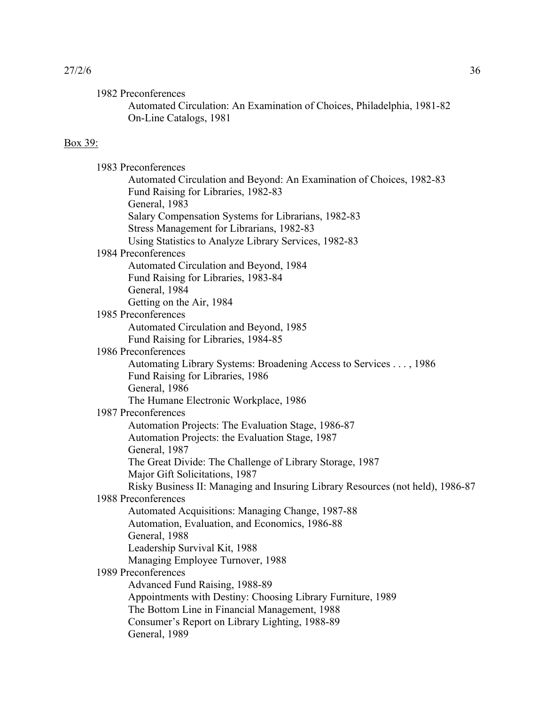| 27/2/6 | 36 |
|--------|----|
|        |    |

1982 Preconferences

Automated Circulation: An Examination of Choices, Philadelphia, 1981-82 On-Line Catalogs, 1981

## Box 39:

| 1983 Preconferences                                                            |  |
|--------------------------------------------------------------------------------|--|
| Automated Circulation and Beyond: An Examination of Choices, 1982-83           |  |
| Fund Raising for Libraries, 1982-83                                            |  |
| General, 1983                                                                  |  |
| Salary Compensation Systems for Librarians, 1982-83                            |  |
| Stress Management for Librarians, 1982-83                                      |  |
| Using Statistics to Analyze Library Services, 1982-83                          |  |
| 1984 Preconferences                                                            |  |
| Automated Circulation and Beyond, 1984                                         |  |
| Fund Raising for Libraries, 1983-84                                            |  |
| General, 1984                                                                  |  |
| Getting on the Air, 1984                                                       |  |
| 1985 Preconferences                                                            |  |
| Automated Circulation and Beyond, 1985                                         |  |
| Fund Raising for Libraries, 1984-85                                            |  |
| 1986 Preconferences                                                            |  |
| Automating Library Systems: Broadening Access to Services , 1986               |  |
| Fund Raising for Libraries, 1986                                               |  |
| General, 1986                                                                  |  |
| The Humane Electronic Workplace, 1986                                          |  |
| 1987 Preconferences                                                            |  |
| Automation Projects: The Evaluation Stage, 1986-87                             |  |
| Automation Projects: the Evaluation Stage, 1987                                |  |
| General, 1987                                                                  |  |
| The Great Divide: The Challenge of Library Storage, 1987                       |  |
| Major Gift Solicitations, 1987                                                 |  |
| Risky Business II: Managing and Insuring Library Resources (not held), 1986-87 |  |
| 1988 Preconferences                                                            |  |
| Automated Acquisitions: Managing Change, 1987-88                               |  |
| Automation, Evaluation, and Economics, 1986-88                                 |  |
| General, 1988                                                                  |  |
| Leadership Survival Kit, 1988                                                  |  |
| Managing Employee Turnover, 1988                                               |  |
| 1989 Preconferences                                                            |  |
| Advanced Fund Raising, 1988-89                                                 |  |
| Appointments with Destiny: Choosing Library Furniture, 1989                    |  |
| The Bottom Line in Financial Management, 1988                                  |  |
| Consumer's Report on Library Lighting, 1988-89                                 |  |
| General, 1989                                                                  |  |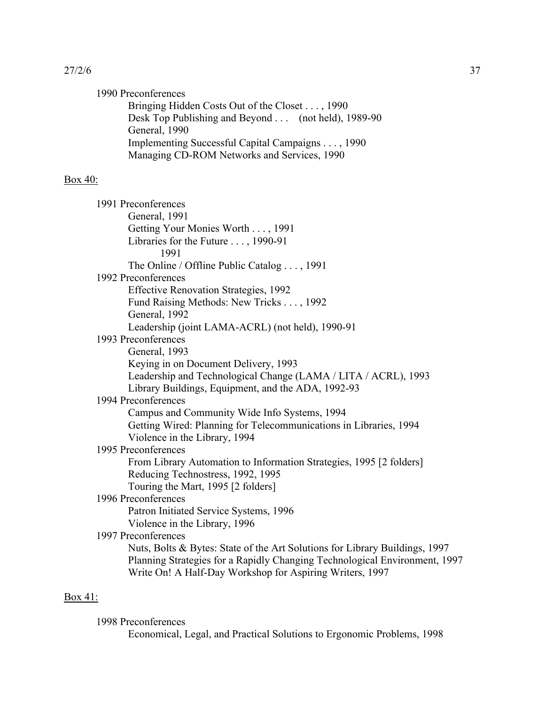| 27/2/6 | 37 |
|--------|----|
|        |    |

| 1990 Preconferences                                |
|----------------------------------------------------|
| Bringing Hidden Costs Out of the Closet , 1990     |
| Desk Top Publishing and Beyond (not held), 1989-90 |
| General, 1990                                      |
| Implementing Successful Capital Campaigns , 1990   |
| Managing CD-ROM Networks and Services, 1990        |
|                                                    |

# Box 40:

|         | 1991 Preconferences                                                         |
|---------|-----------------------------------------------------------------------------|
|         | General, 1991                                                               |
|         | Getting Your Monies Worth , 1991                                            |
|         | Libraries for the Future , 1990-91                                          |
|         | 1991                                                                        |
|         | The Online / Offline Public Catalog , 1991                                  |
|         | 1992 Preconferences                                                         |
|         | <b>Effective Renovation Strategies, 1992</b>                                |
|         | Fund Raising Methods: New Tricks , 1992                                     |
|         | General, 1992                                                               |
|         | Leadership (joint LAMA-ACRL) (not held), 1990-91                            |
|         | 1993 Preconferences                                                         |
|         | General, 1993                                                               |
|         | Keying in on Document Delivery, 1993                                        |
|         | Leadership and Technological Change (LAMA / LITA / ACRL), 1993              |
|         | Library Buildings, Equipment, and the ADA, 1992-93                          |
|         | 1994 Preconferences                                                         |
|         | Campus and Community Wide Info Systems, 1994                                |
|         | Getting Wired: Planning for Telecommunications in Libraries, 1994           |
|         | Violence in the Library, 1994                                               |
|         | 1995 Preconferences                                                         |
|         | From Library Automation to Information Strategies, 1995 [2 folders]         |
|         | Reducing Technostress, 1992, 1995                                           |
|         | Touring the Mart, 1995 [2 folders]                                          |
|         | 1996 Preconferences                                                         |
|         | Patron Initiated Service Systems, 1996                                      |
|         | Violence in the Library, 1996                                               |
|         | 1997 Preconferences                                                         |
|         | Nuts, Bolts & Bytes: State of the Art Solutions for Library Buildings, 1997 |
|         | Planning Strategies for a Rapidly Changing Technological Environment, 1997  |
|         | Write On! A Half-Day Workshop for Aspiring Writers, 1997                    |
|         |                                                                             |
| Box 41: |                                                                             |

## 1998 Preconferences

Economical, Legal, and Practical Solutions to Ergonomic Problems, 1998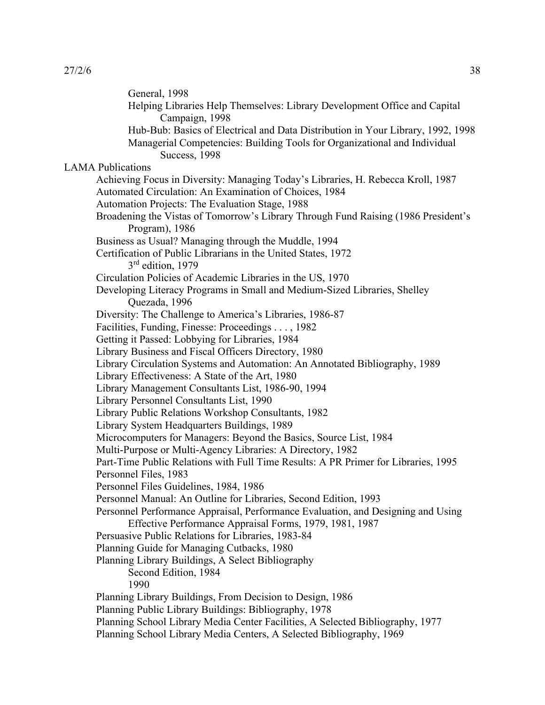General, 1998 Helping Libraries Help Themselves: Library Development Office and Capital Campaign, 1998 Hub-Bub: Basics of Electrical and Data Distribution in Your Library, 1992, 1998 Managerial Competencies: Building Tools for Organizational and Individual Success, 1998 LAMA Publications Achieving Focus in Diversity: Managing Today's Libraries, H. Rebecca Kroll, 1987 Automated Circulation: An Examination of Choices, 1984 Automation Projects: The Evaluation Stage, 1988 Broadening the Vistas of Tomorrow's Library Through Fund Raising (1986 President's Program), 1986 Business as Usual? Managing through the Muddle, 1994 Certification of Public Librarians in the United States, 1972 3<sup>rd</sup> edition, 1979 Circulation Policies of Academic Libraries in the US, 1970 Developing Literacy Programs in Small and Medium-Sized Libraries, Shelley Quezada, 1996 Diversity: The Challenge to America's Libraries, 1986-87 Facilities, Funding, Finesse: Proceedings . . . , 1982 Getting it Passed: Lobbying for Libraries, 1984 Library Business and Fiscal Officers Directory, 1980 Library Circulation Systems and Automation: An Annotated Bibliography, 1989 Library Effectiveness: A State of the Art, 1980 Library Management Consultants List, 1986-90, 1994 Library Personnel Consultants List, 1990 Library Public Relations Workshop Consultants, 1982 Library System Headquarters Buildings, 1989 Microcomputers for Managers: Beyond the Basics, Source List, 1984 Multi-Purpose or Multi-Agency Libraries: A Directory, 1982 Part-Time Public Relations with Full Time Results: A PR Primer for Libraries, 1995 Personnel Files, 1983 Personnel Files Guidelines, 1984, 1986 Personnel Manual: An Outline for Libraries, Second Edition, 1993 Personnel Performance Appraisal, Performance Evaluation, and Designing and Using Effective Performance Appraisal Forms, 1979, 1981, 1987 Persuasive Public Relations for Libraries, 1983-84 Planning Guide for Managing Cutbacks, 1980 Planning Library Buildings, A Select Bibliography Second Edition, 1984 1990 Planning Library Buildings, From Decision to Design, 1986 Planning Public Library Buildings: Bibliography, 1978 Planning School Library Media Center Facilities, A Selected Bibliography, 1977 Planning School Library Media Centers, A Selected Bibliography, 1969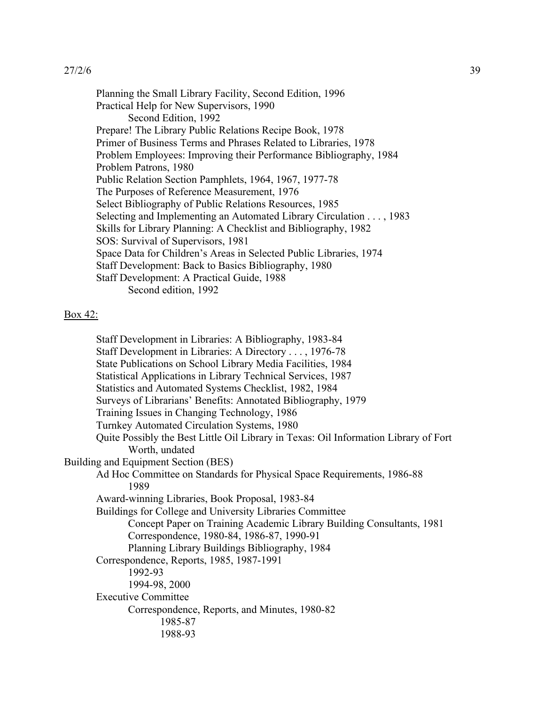Planning the Small Library Facility, Second Edition, 1996 Practical Help for New Supervisors, 1990 Second Edition, 1992 Prepare! The Library Public Relations Recipe Book, 1978 Primer of Business Terms and Phrases Related to Libraries, 1978 Problem Employees: Improving their Performance Bibliography, 1984 Problem Patrons, 1980 Public Relation Section Pamphlets, 1964, 1967, 1977-78 The Purposes of Reference Measurement, 1976 Select Bibliography of Public Relations Resources, 1985 Selecting and Implementing an Automated Library Circulation . . . , 1983 Skills for Library Planning: A Checklist and Bibliography, 1982 SOS: Survival of Supervisors, 1981 Space Data for Children's Areas in Selected Public Libraries, 1974 Staff Development: Back to Basics Bibliography, 1980 Staff Development: A Practical Guide, 1988 Second edition, 1992

#### Box 42:

Staff Development in Libraries: A Bibliography, 1983-84 Staff Development in Libraries: A Directory . . . , 1976-78 State Publications on School Library Media Facilities, 1984 Statistical Applications in Library Technical Services, 1987 Statistics and Automated Systems Checklist, 1982, 1984 Surveys of Librarians' Benefits: Annotated Bibliography, 1979 Training Issues in Changing Technology, 1986 Turnkey Automated Circulation Systems, 1980 Quite Possibly the Best Little Oil Library in Texas: Oil Information Library of Fort Worth, undated Building and Equipment Section (BES) Ad Hoc Committee on Standards for Physical Space Requirements, 1986-88 1989 Award-winning Libraries, Book Proposal, 1983-84 Buildings for College and University Libraries Committee Concept Paper on Training Academic Library Building Consultants, 1981 Correspondence, 1980-84, 1986-87, 1990-91 Planning Library Buildings Bibliography, 1984 Correspondence, Reports, 1985, 1987-1991 1992-93 1994-98, 2000 Executive Committee Correspondence, Reports, and Minutes, 1980-82 1985-87 1988-93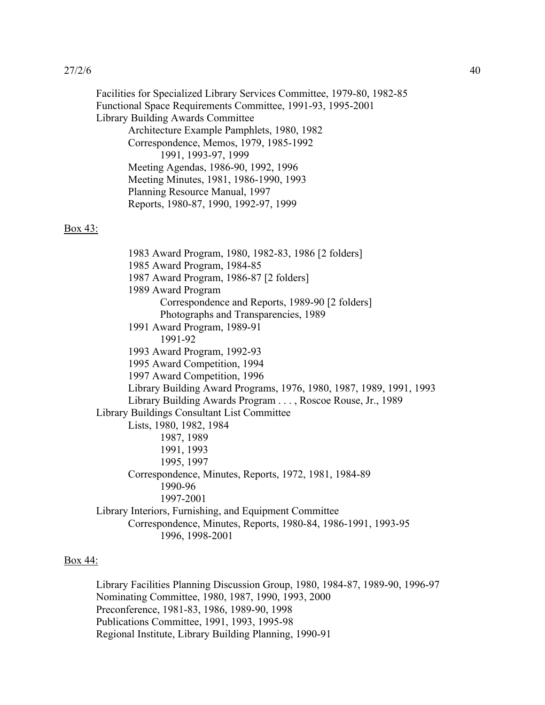Facilities for Specialized Library Services Committee, 1979-80, 1982-85 Functional Space Requirements Committee, 1991-93, 1995-2001 Library Building Awards Committee Architecture Example Pamphlets, 1980, 1982 Correspondence, Memos, 1979, 1985-1992 1991, 1993-97, 1999 Meeting Agendas, 1986-90, 1992, 1996 Meeting Minutes, 1981, 1986-1990, 1993 Planning Resource Manual, 1997 Reports, 1980-87, 1990, 1992-97, 1999 Box 43: 1983 Award Program, 1980, 1982-83, 1986 [2 folders] 1985 Award Program, 1984-85 1987 Award Program, 1986-87 [2 folders] 1989 Award Program Correspondence and Reports, 1989-90 [2 folders] Photographs and Transparencies, 1989 1991 Award Program, 1989-91 1991-92 1993 Award Program, 1992-93 1995 Award Competition, 1994 1997 Award Competition, 1996 Library Building Award Programs, 1976, 1980, 1987, 1989, 1991, 1993 Library Building Awards Program . . . , Roscoe Rouse, Jr., 1989 Library Buildings Consultant List Committee Lists, 1980, 1982, 1984 1987, 1989 1991, 1993 1995, 1997 Correspondence, Minutes, Reports, 1972, 1981, 1984-89 1990-96 1997-2001 Library Interiors, Furnishing, and Equipment Committee Correspondence, Minutes, Reports, 1980-84, 1986-1991, 1993-95 1996, 1998-2001

#### Box 44:

Library Facilities Planning Discussion Group, 1980, 1984-87, 1989-90, 1996-97 Nominating Committee, 1980, 1987, 1990, 1993, 2000 Preconference, 1981-83, 1986, 1989-90, 1998 Publications Committee, 1991, 1993, 1995-98 Regional Institute, Library Building Planning, 1990-91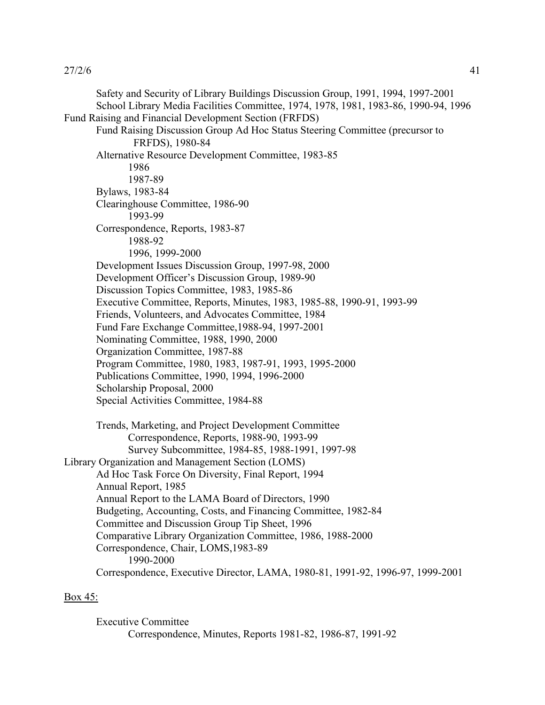Safety and Security of Library Buildings Discussion Group, 1991, 1994, 1997-2001 School Library Media Facilities Committee, 1974, 1978, 1981, 1983-86, 1990-94, 1996 Fund Raising and Financial Development Section (FRFDS) Fund Raising Discussion Group Ad Hoc Status Steering Committee (precursor to FRFDS), 1980-84 Alternative Resource Development Committee, 1983-85 1986 1987-89 Bylaws, 1983-84 Clearinghouse Committee, 1986-90 1993-99 Correspondence, Reports, 1983-87 1988-92 1996, 1999-2000 Development Issues Discussion Group, 1997-98, 2000 Development Officer's Discussion Group, 1989-90 Discussion Topics Committee, 1983, 1985-86 Executive Committee, Reports, Minutes, 1983, 1985-88, 1990-91, 1993-99 Friends, Volunteers, and Advocates Committee, 1984 Fund Fare Exchange Committee,1988-94, 1997-2001 Nominating Committee, 1988, 1990, 2000 Organization Committee, 1987-88 Program Committee, 1980, 1983, 1987-91, 1993, 1995-2000 Publications Committee, 1990, 1994, 1996-2000 Scholarship Proposal, 2000 Special Activities Committee, 1984-88 Trends, Marketing, and Project Development Committee Correspondence, Reports, 1988-90, 1993-99 Survey Subcommittee, 1984-85, 1988-1991, 1997-98 Library Organization and Management Section (LOMS) Ad Hoc Task Force On Diversity, Final Report, 1994 Annual Report, 1985 Annual Report to the LAMA Board of Directors, 1990 Budgeting, Accounting, Costs, and Financing Committee, 1982-84 Committee and Discussion Group Tip Sheet, 1996 Comparative Library Organization Committee, 1986, 1988-2000 Correspondence, Chair, LOMS,1983-89 1990-2000 Correspondence, Executive Director, LAMA, 1980-81, 1991-92, 1996-97, 1999-2001

## Box 45:

Executive Committee Correspondence, Minutes, Reports 1981-82, 1986-87, 1991-92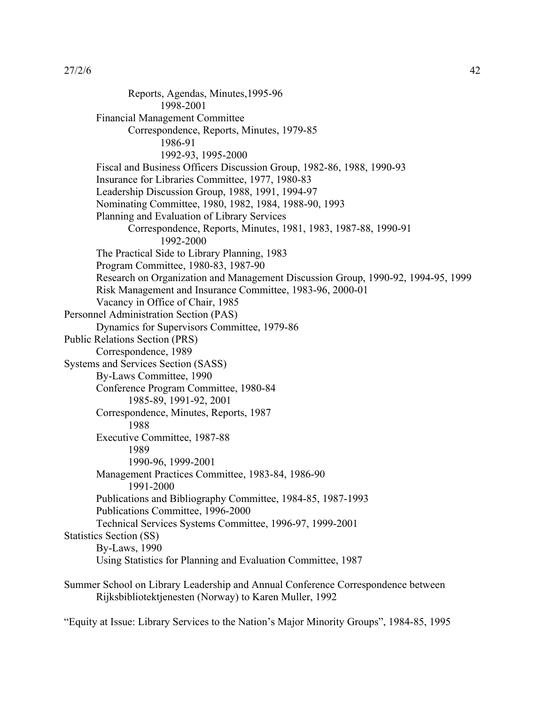Reports, Agendas, Minutes,1995-96 1998-2001 Financial Management Committee Correspondence, Reports, Minutes, 1979-85 1986-91 1992-93, 1995-2000 Fiscal and Business Officers Discussion Group, 1982-86, 1988, 1990-93 Insurance for Libraries Committee, 1977, 1980-83 Leadership Discussion Group, 1988, 1991, 1994-97 Nominating Committee, 1980, 1982, 1984, 1988-90, 1993 Planning and Evaluation of Library Services Correspondence, Reports, Minutes, 1981, 1983, 1987-88, 1990-91 1992-2000 The Practical Side to Library Planning, 1983 Program Committee, 1980-83, 1987-90 Research on Organization and Management Discussion Group, 1990-92, 1994-95, 1999 Risk Management and Insurance Committee, 1983-96, 2000-01 Vacancy in Office of Chair, 1985 Personnel Administration Section (PAS) Dynamics for Supervisors Committee, 1979-86 Public Relations Section (PRS) Correspondence, 1989 Systems and Services Section (SASS) By-Laws Committee, 1990 Conference Program Committee, 1980-84 1985-89, 1991-92, 2001 Correspondence, Minutes, Reports, 1987 1988 Executive Committee, 1987-88 1989 1990-96, 1999-2001 Management Practices Committee, 1983-84, 1986-90 1991-2000 Publications and Bibliography Committee, 1984-85, 1987-1993 Publications Committee, 1996-2000 Technical Services Systems Committee, 1996-97, 1999-2001 Statistics Section (SS) By-Laws, 1990 Using Statistics for Planning and Evaluation Committee, 1987 Summer School on Library Leadership and Annual Conference Correspondence between Rijksbibliotektjenesten (Norway) to Karen Muller, 1992

"Equity at Issue: Library Services to the Nation's Major Minority Groups", 1984-85, 1995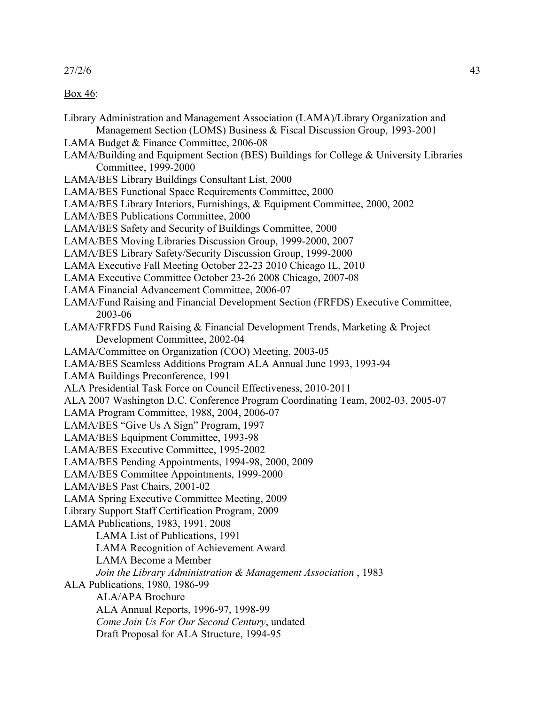Box 46:

Library Administration and Management Association (LAMA)/Library Organization and Management Section (LOMS) Business & Fiscal Discussion Group, 1993-2001 LAMA Budget & Finance Committee, 2006-08 LAMA/Building and Equipment Section (BES) Buildings for College & University Libraries Committee, 1999-2000 LAMA/BES Library Buildings Consultant List, 2000 LAMA/BES Functional Space Requirements Committee, 2000 LAMA/BES Library Interiors, Furnishings, & Equipment Committee, 2000, 2002 LAMA/BES Publications Committee, 2000 LAMA/BES Safety and Security of Buildings Committee, 2000 LAMA/BES Moving Libraries Discussion Group, 1999-2000, 2007 LAMA/BES Library Safety/Security Discussion Group, 1999-2000 LAMA Executive Fall Meeting October 22-23 2010 Chicago IL, 2010 LAMA Executive Committee October 23-26 2008 Chicago, 2007-08 LAMA Financial Advancement Committee, 2006-07 LAMA/Fund Raising and Financial Development Section (FRFDS) Executive Committee, 2003-06 LAMA/FRFDS Fund Raising & Financial Development Trends, Marketing & Project Development Committee, 2002-04 LAMA/Committee on Organization (COO) Meeting, 2003-05 LAMA/BES Seamless Additions Program ALA Annual June 1993, 1993-94 LAMA Buildings Preconference, 1991 ALA Presidential Task Force on Council Effectiveness, 2010-2011 ALA 2007 Washington D.C. Conference Program Coordinating Team, 2002-03, 2005-07 LAMA Program Committee, 1988, 2004, 2006-07 LAMA/BES "Give Us A Sign" Program, 1997 LAMA/BES Equipment Committee, 1993-98 LAMA/BES Executive Committee, 1995-2002 LAMA/BES Pending Appointments, 1994-98, 2000, 2009 LAMA/BES Committee Appointments, 1999-2000 LAMA/BES Past Chairs, 2001-02 LAMA Spring Executive Committee Meeting, 2009 Library Support Staff Certification Program, 2009 LAMA Publications, 1983, 1991, 2008 LAMA List of Publications, 1991 LAMA Recognition of Achievement Award LAMA Become a Member *Join the Library Administration & Management Association* , 1983 ALA Publications, 1980, 1986-99 ALA/APA Brochure ALA Annual Reports, 1996-97, 1998-99 *Come Join Us For Our Second Century*, undated Draft Proposal for ALA Structure, 1994-95